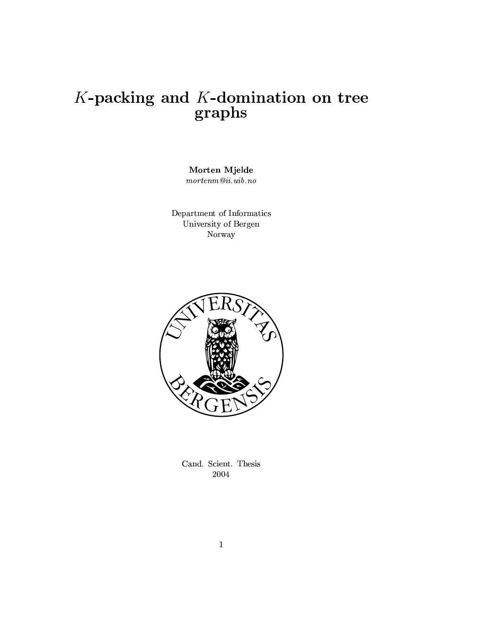# $K\mbox{-}\mathbf{packing}$  and  $K\mbox{-}\mathbf{domination}$  on tree graphs

Morten Mjelde  $\mathit{morten}\mathit{m}@ii.uib.\mathit{no}$ 

Department of Informatics University of Bergen Norway



Cand. Scient. Thesis 2004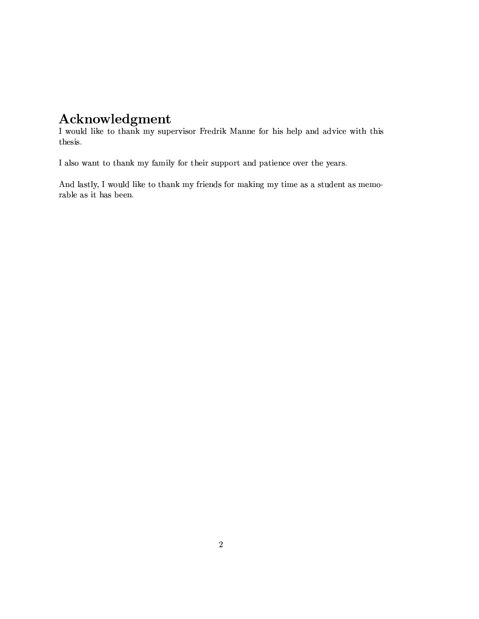### Acknowledgment

I would like to thank my supervisor Fredrik Manne for his help and advice with this thesis.

I also want to thank my family for their support and patience over the years.

And lastly, I would like to thank my friends for making my time as a student as memorable as it has been.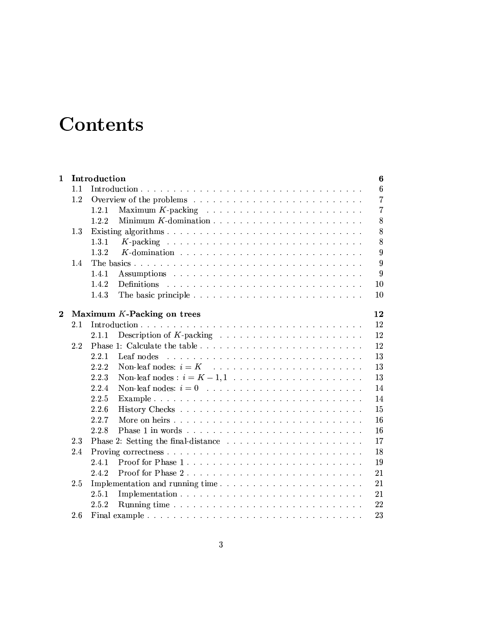# Contents

| $\mathbf{1}$ | Introduction |                                 |                 |  |  |
|--------------|--------------|---------------------------------|-----------------|--|--|
|              | 1.1          |                                 | $6\phantom{.}6$ |  |  |
|              | 1.2          |                                 | $\overline{7}$  |  |  |
|              |              | 1.2.1                           | $\overline{7}$  |  |  |
|              |              | 1.2.2                           | $8\,$           |  |  |
|              | 1.3          |                                 | 8               |  |  |
|              |              | 1, 3, 1                         | 8               |  |  |
|              |              | 1.3.2                           | 9               |  |  |
|              | 1.4          |                                 | 9               |  |  |
|              |              | 1.4.1                           | 9               |  |  |
|              |              | 1.4.2                           | 10              |  |  |
|              |              | 1.4.3                           | 10              |  |  |
|              |              |                                 |                 |  |  |
| $\bf{2}$     |              | Maximum $K$ -Packing on trees   | 12              |  |  |
|              | 2.1          |                                 | 12              |  |  |
|              |              | 2.1.1                           | 12              |  |  |
|              | 22           |                                 | 12              |  |  |
|              |              | 2.2.1<br>Leaf nodes             | 13              |  |  |
|              |              | 2.2.2                           | 13              |  |  |
|              |              | 2.2.3                           | 13              |  |  |
|              |              | 2.2.4                           | 14              |  |  |
|              |              | 2.2.5                           | 14              |  |  |
|              |              | 2.2.6                           | 15              |  |  |
|              |              | 2.2.7                           | 16              |  |  |
|              |              | 2.2.8                           | 16              |  |  |
|              | 2.3          |                                 | 17              |  |  |
|              | 2.4          |                                 | 18              |  |  |
|              |              | Proof for Phase 1<br>2.4.1      | 19              |  |  |
|              |              | 2.4.2                           | 21              |  |  |
|              | 2.5          | Implementation and running time | 21              |  |  |
|              |              | 2.5.1                           | 21              |  |  |
|              |              | 2.5.2                           | 22              |  |  |
|              | 2.6          |                                 | 23              |  |  |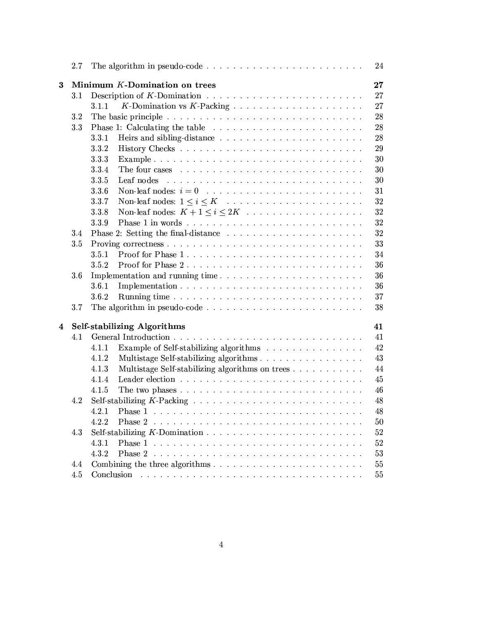|   | $2.7\,$                           | 24                                                                                                                                               |  |  |  |  |  |  |  |
|---|-----------------------------------|--------------------------------------------------------------------------------------------------------------------------------------------------|--|--|--|--|--|--|--|
| 3 |                                   | Minimum $K$ -Domination on trees<br>27                                                                                                           |  |  |  |  |  |  |  |
|   | 3.1                               | 27                                                                                                                                               |  |  |  |  |  |  |  |
|   |                                   | 27<br>3.1.1                                                                                                                                      |  |  |  |  |  |  |  |
|   | 3.2                               | 28                                                                                                                                               |  |  |  |  |  |  |  |
|   | 3.3                               | 28                                                                                                                                               |  |  |  |  |  |  |  |
|   |                                   | 28<br>3.3.1                                                                                                                                      |  |  |  |  |  |  |  |
|   |                                   | 3.3.2<br>29                                                                                                                                      |  |  |  |  |  |  |  |
|   |                                   | 30<br>3.3.3                                                                                                                                      |  |  |  |  |  |  |  |
|   |                                   | 3.3.4<br>30                                                                                                                                      |  |  |  |  |  |  |  |
|   |                                   | 30<br>Leaf nodes<br>3.3.5<br>and the contract of the contract of the contract of the contract of the contract of the contract of the contract of |  |  |  |  |  |  |  |
|   |                                   | 3.3.6<br>31                                                                                                                                      |  |  |  |  |  |  |  |
|   |                                   | 32<br>3.3.7                                                                                                                                      |  |  |  |  |  |  |  |
|   |                                   | 32<br>3.3.8                                                                                                                                      |  |  |  |  |  |  |  |
|   |                                   | 32<br>3.3.9                                                                                                                                      |  |  |  |  |  |  |  |
|   | 3.4                               | 32                                                                                                                                               |  |  |  |  |  |  |  |
|   | 3.5                               | 33                                                                                                                                               |  |  |  |  |  |  |  |
|   |                                   | Proof for Phase 1<br>3.5.1<br>34                                                                                                                 |  |  |  |  |  |  |  |
|   |                                   | Proof for Phase 2<br>3.5.2<br>36                                                                                                                 |  |  |  |  |  |  |  |
|   | $3.6\,$                           | Implementation and running time<br>36                                                                                                            |  |  |  |  |  |  |  |
|   |                                   | 3.6.1<br>36                                                                                                                                      |  |  |  |  |  |  |  |
|   |                                   | 37<br>3.6.2                                                                                                                                      |  |  |  |  |  |  |  |
|   | 3.7                               | 38                                                                                                                                               |  |  |  |  |  |  |  |
| 4 | Self-stabilizing Algorithms<br>41 |                                                                                                                                                  |  |  |  |  |  |  |  |
|   | 4.1                               | 41                                                                                                                                               |  |  |  |  |  |  |  |
|   |                                   | 42<br>4.1.1<br>Example of Self-stabilizing algorithms                                                                                            |  |  |  |  |  |  |  |
|   |                                   | 43<br>4.1.2<br>Multistage Self-stabilizing algorithms                                                                                            |  |  |  |  |  |  |  |
|   |                                   | Multistage Self-stabilizing algorithms on trees<br>44<br>4.1.3                                                                                   |  |  |  |  |  |  |  |
|   |                                   | 45<br>4.1.4                                                                                                                                      |  |  |  |  |  |  |  |
|   |                                   | 46<br>4.1.5                                                                                                                                      |  |  |  |  |  |  |  |
|   | 4.2                               | 48                                                                                                                                               |  |  |  |  |  |  |  |
|   |                                   | 48<br>$4.2.1$ Phase 1<br>in the second company of the second company of the second company of the second company of the second company of        |  |  |  |  |  |  |  |
|   |                                   | 50<br>4.2.2                                                                                                                                      |  |  |  |  |  |  |  |
|   | 4.3                               | 52                                                                                                                                               |  |  |  |  |  |  |  |
|   |                                   | 4.3.1<br>52                                                                                                                                      |  |  |  |  |  |  |  |
|   |                                   | 4.3.2<br>53                                                                                                                                      |  |  |  |  |  |  |  |
|   | 4.4                               | 55                                                                                                                                               |  |  |  |  |  |  |  |
|   | 4.5                               | $55\,$                                                                                                                                           |  |  |  |  |  |  |  |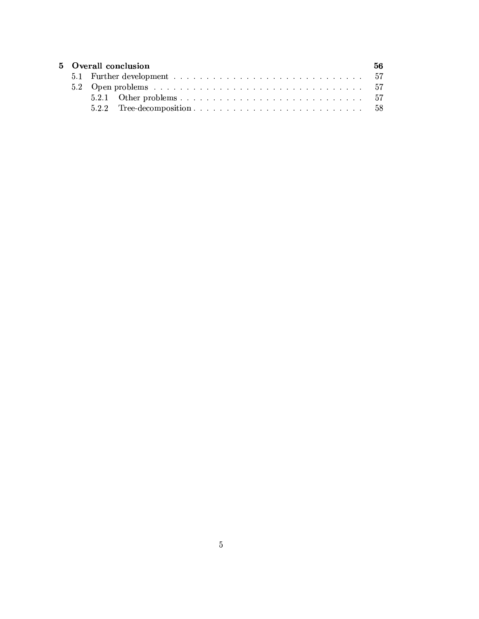| 5 Overall conclusion |  |  |  |  |  |  |  |
|----------------------|--|--|--|--|--|--|--|
|                      |  |  |  |  |  |  |  |
|                      |  |  |  |  |  |  |  |
|                      |  |  |  |  |  |  |  |
|                      |  |  |  |  |  |  |  |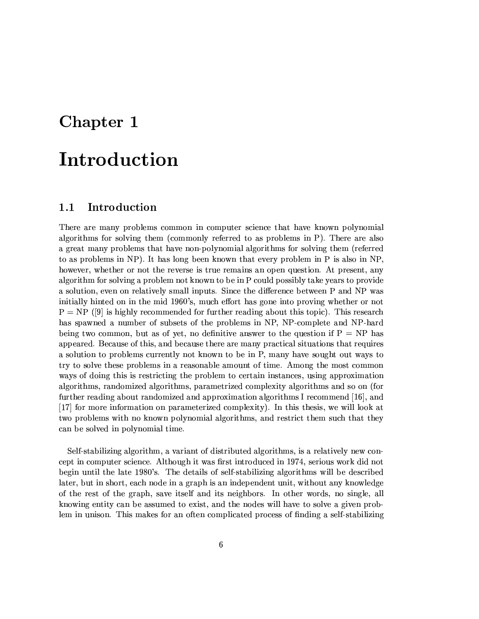### Chapter 1

# Introduction

#### Introduction  $1.1$

There are many problems common in computer science that have known polynomial algorithms for solving them (commonly referred to as problems in P). There are also a great many problems that have non-polynomial algorithms for solving them (referred to as problems in NP). It has long been known that every problem in P is also in NP. however, whether or not the reverse is true remains an open question. At present, any algorithm for solving a problem not known to be in P could possibly take years to provide a solution, even on relatively small inputs. Since the difference between P and NP was initially hinted on in the mid 1960's, much effort has gone into proving whether or not  $P = NP$  ([9] is highly recommended for further reading about this topic). This research has spawned a number of subsets of the problems in NP, NP-complete and NP-hard being two common, but as of yet, no definitive answer to the question if  $P = NP$  has appeared. Because of this, and because there are many practical situations that requires a solution to problems currently not known to be in P, many have sought out ways to try to solve these problems in a reasonable amount of time. Among the most common ways of doing this is restricting the problem to certain instances, using approximation algorithms, randomized algorithms, parametrized complexity algorithms and so on (for further reading about randomized and approximation algorithms I recommend [16], and [17] for more information on parameterized complexity). In this thesis, we will look at two problems with no known polynomial algorithms, and restrict them such that they can be solved in polynomial time.

Self-stabilizing algorithm, a variant of distributed algorithms, is a relatively new concept in computer science. Although it was first introduced in 1974, serious work did not begin until the late 1980's. The details of self-stabilizing algorithms will be described later, but in short, each node in a graph is an independent unit, without any knowledge of the rest of the graph, save itself and its neighbors. In other words, no single, all knowing entity can be assumed to exist, and the nodes will have to solve a given problem in unison. This makes for an often complicated process of finding a self-stabilizing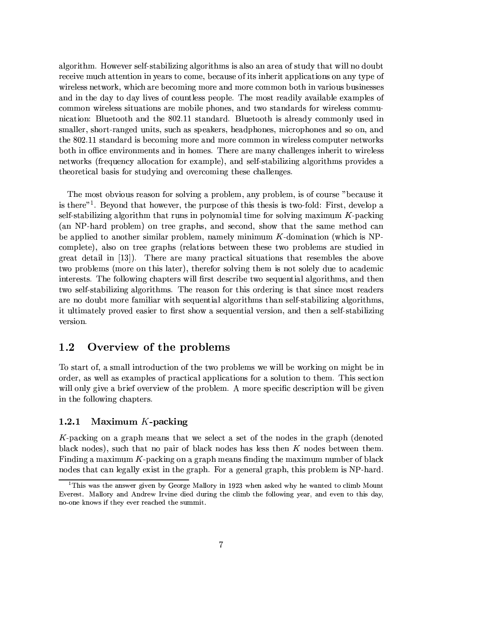algorithm. However self-stabilizing algorithms is also an area of study that will no doubt receive much attention in years to come, because of its inherit applications on any type of wireless network, which are becoming more and more common both in various businesses and in the day to day lives of countless people. The most readily available examples of common wireless situations are mobile phones, and two standards for wireless communication: Bluetooth and the 802.11 standard. Bluetooth is already commonly used in smaller, short-ranged units, such as speakers, headphones, microphones and so on, and the 802.11 standard is becoming more and more common in wireless computer networks both in office environments and in homes. There are many challenges inherit to wireless networks (frequency allocation for example), and self-stabilizing algorithms provides a theoretical basis for studying and overcoming these challenges.

The most obvious reason for solving a problem, any problem, is of course "because it is there"<sup>1</sup>. Beyond that however, the purpose of this thesis is two-fold: First, develop a self-stabilizing algorithm that runs in polynomial time for solving maximum  $K$ -packing (an NP-hard problem) on tree graphs, and second, show that the same method can be applied to another similar problem, namely minimum  $K$ -domination (which is NPcomplete), also on tree graphs (relations between these two problems are studied in great detail in  $[13]$ . There are many practical situations that resembles the above two problems (more on this later), therefor solving them is not solely due to academic interests. The following chapters will first describe two sequential algorithms, and then two self-stabilizing algorithms. The reason for this ordering is that since most readers are no doubt more familiar with sequential algorithms than self-stabilizing algorithms, it ultimately proved easier to first show a sequential version, and then a self-stabilizing version.

#### $1.2$ Overview of the problems

To start of, a small introduction of the two problems we will be working on might be in order, as well as examples of practical applications for a solution to them. This section will only give a brief overview of the problem. A more specific description will be given in the following chapters.

#### Maximum  $K$ -packing 1.2.1

K-packing on a graph means that we select a set of the nodes in the graph (denoted black nodes), such that no pair of black nodes has less then  $K$  nodes between them. Finding a maximum K-packing on a graph means finding the maximum number of black nodes that can legally exist in the graph. For a general graph, this problem is NP-hard.

<sup>&</sup>lt;sup>1</sup>This was the answer given by George Mallory in 1923 when asked why he wanted to climb Mount Everest. Mallory and Andrew Irvine died during the climb the following year, and even to this day, no-one knows if they ever reached the summit.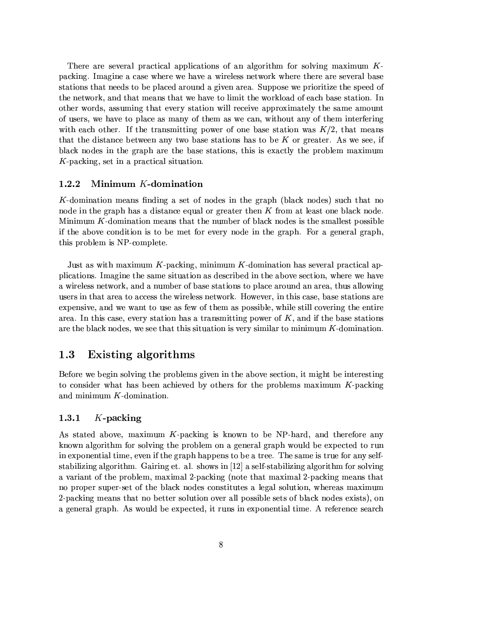There are several practical applications of an algorithm for solving maximum  $K$ packing. Imagine a case where we have a wireless network where there are several base stations that needs to be placed around a given area. Suppose we prioritize the speed of the network, and that means that we have to limit the workload of each base station. In other words, assuming that every station will receive approximately the same amount of users, we have to place as many of them as we can, without any of them interfering with each other. If the transmitting power of one base station was  $K/2$ , that means that the distance between any two base stations has to be  $K$  or greater. As we see, if black nodes in the graph are the base stations, this is exactly the problem maximum  $K$ -packing, set in a practical situation.

#### $1.2.2$ Minimum  $K$ -domination

K-domination means finding a set of nodes in the graph (black nodes) such that no node in the graph has a distance equal or greater then K from at least one black node. Minimum  $K$ -domination means that the number of black nodes is the smallest possible if the above condition is to be met for every node in the graph. For a general graph, this problem is NP-complete.

Just as with maximum  $K$ -packing, minimum  $K$ -domination has several practical applications. Imagine the same situation as described in the above section, where we have a wireless network, and a number of base stations to place around an area, thus allowing users in that area to access the wireless network. However, in this case, base stations are expensive, and we want to use as few of them as possible, while still covering the entire area. In this case, every station has a transmitting power of  $K$ , and if the base stations are the black nodes, we see that this situation is very similar to minimum  $K$ -domination.

#### **Existing algorithms** 1.3

Before we begin solving the problems given in the above section, it might be interesting to consider what has been achieved by others for the problems maximum  $K$ -packing and minimum  $K$ -domination.

#### $K$ -packing 1.3.1

As stated above, maximum K-packing is known to be NP-hard, and therefore any known algorithm for solving the problem on a general graph would be expected to run in exponential time, even if the graph happens to be a tree. The same is true for any selfstabilizing algorithm. Gairing et. al. shows in [12] a self-stabilizing algorithm for solving a variant of the problem, maximal 2-packing (note that maximal 2-packing means that no proper super-set of the black nodes constitutes a legal solution, whereas maximum 2-packing means that no better solution over all possible sets of black nodes exists), on a general graph. As would be expected, it runs in exponential time. A reference search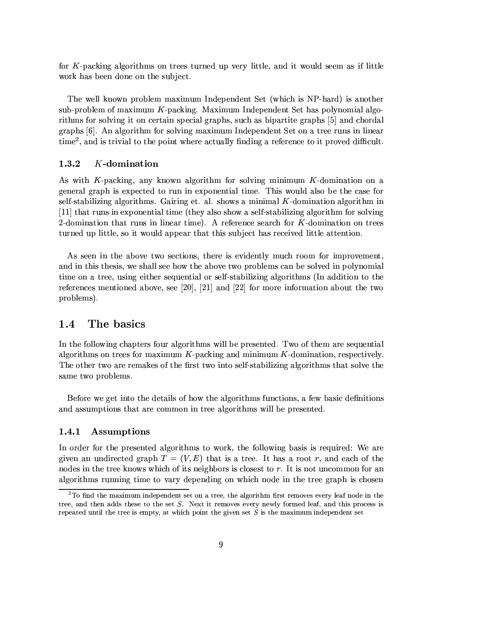for K-packing algorithms on trees turned up very little, and it would seem as if little work has been done on the subject.

The well known problem maximum Independent Set (which is NP-hard) is another sub-problem of maximum  $K$ -packing. Maximum Independent Set has polynomial algorithms for solving it on certain special graphs, such as bipartite graphs [5] and chordal graphs [6]. An algorithm for solving maximum Independent Set on a tree runs in linear time<sup>2</sup>, and is trivial to the point where actually finding a reference to it proved difficult.

#### 1.3.2  $K$ -domination

As with K-packing, any known algorithm for solving minimum K-domination on a general graph is expected to run in exponential time. This would also be the case for self-stabilizing algorithms. Gairing et. al. shows a minimal K-domination algorithm in [11] that runs in exponential time (they also show a self-stabilizing algorithm for solving 2-domination that runs in linear time). A reference search for K-domination on trees turned up little, so it would appear that this subject has received little attention.

As seen in the above two sections, there is evidently much room for improvement, and in this thesis, we shall see how the above two problems can be solved in polynomial time on a tree, using either sequential or self-stabilizing algorithms (In addition to the references mentioned above, see [20], [21] and [22] for more information about the two problems).

#### The basics 1.4

In the following chapters four algorithms will be presented. Two of them are sequential algorithms on trees for maximum  $K$ -packing and minimum  $K$ -domination, respectively. The other two are remakes of the first two into self-stabilizing algorithms that solve the same two problems.

Before we get into the details of how the algorithms functions, a few basic definitions and assumptions that are common in tree algorithms will be presented.

#### Assumptions 1.4.1

In order for the presented algorithms to work, the following basis is required: We are given an undirected graph  $T = (V, E)$  that is a tree. It has a root r, and each of the nodes in the tree knows which of its neighbors is closest to r. It is not uncommon for an algorithms running time to vary depending on which node in the tree graph is chosen

 $2^2$ To find the maximum independent set on a tree, the algorithm first removes every leaf node in the tree, and then adds these to the set S. Next it removes every newly formed leaf, and this process is repeated until the tree is empty, at which point the given set  $S$  is the maximum independent set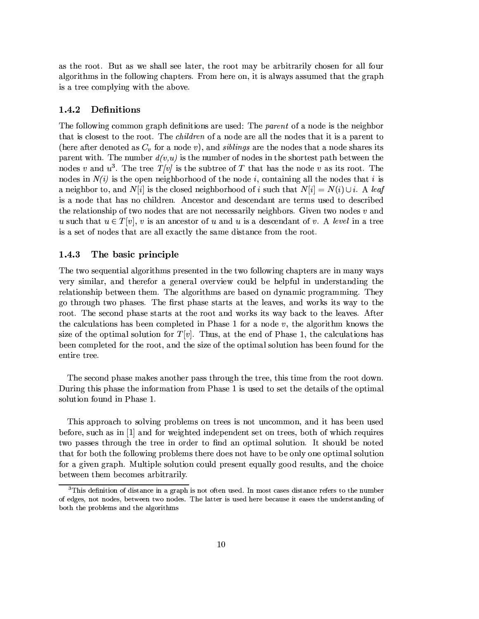as the root. But as we shall see later, the root may be arbitrarily chosen for all four algorithms in the following chapters. From here on, it is always assumed that the graph is a tree complying with the above.

#### 1.4.2 Definitions

The following common graph definitions are used: The *parent* of a node is the neighbor that is closest to the root. The *children* of a node are all the nodes that it is a parent to (here after denoted as  $C_v$  for a node v), and *siblings* are the nodes that a node shares its parent with. The number  $d(v, u)$  is the number of nodes in the shortest path between the nodes v and  $u^3$ . The tree  $T/v$  is the subtree of T that has the node v as its root. The nodes in  $N(i)$  is the open neighborhood of the node i, containing all the nodes that i is a neighbor to, and  $N[i]$  is the closed neighborhood of i such that  $N[i] = N(i) \cup i$ . A leaf is a node that has no children. Ancestor and descendant are terms used to described the relationship of two nodes that are not necessarily neighbors. Given two nodes  $v$  and u such that  $u \in T[v]$ , v is an ancestor of u and u is a descendant of v. A level in a tree is a set of nodes that are all exactly the same distance from the root.

#### 1.4.3 The basic principle

The two sequential algorithms presented in the two following chapters are in many ways very similar, and therefor a general overview could be helpful in understanding the relationship between them. The algorithms are based on dynamic programming. They go through two phases. The first phase starts at the leaves, and works its way to the root. The second phase starts at the root and works its way back to the leaves. After the calculations has been completed in Phase 1 for a node  $v$ , the algorithm knows the size of the optimal solution for  $T[v]$ . Thus, at the end of Phase 1, the calculations has been completed for the root, and the size of the optimal solution has been found for the entire tree.

The second phase makes another pass through the tree, this time from the root down. During this phase the information from Phase 1 is used to set the details of the optimal solution found in Phase 1.

This approach to solving problems on trees is not uncommon, and it has been used before, such as in [1] and for weighted independent set on trees, both of which requires two passes through the tree in order to find an optimal solution. It should be noted that for both the following problems there does not have to be only one optimal solution for a given graph. Multiple solution could present equally good results, and the choice between them becomes arbitrarily.

 ${}^{3}$ This definition of distance in a graph is not often used. In most cases distance refers to the number of edges, not nodes, between two nodes. The latter is used here because it eases the understanding of both the problems and the algorithms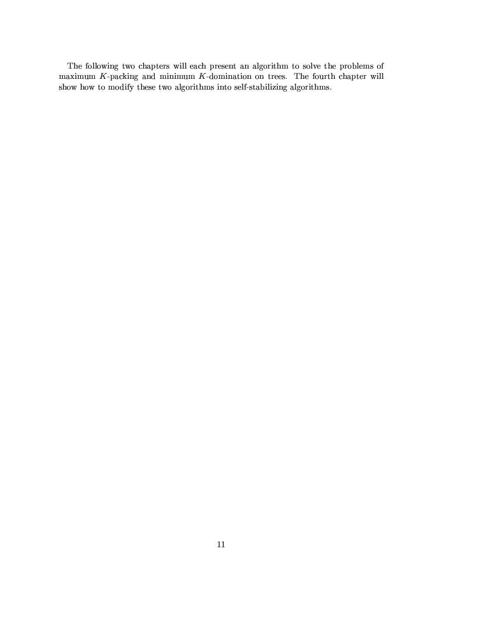The following two chapters will each present an algorithm to solve the problems of maximum  $K$ -packing and minimum  $K$ -domination on trees. The fourth chapter will show how to modify these two algorithms into self-stabilizing algorithms.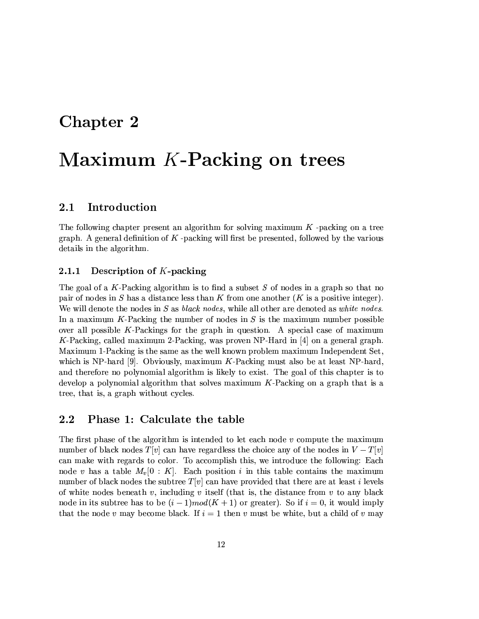### Chapter 2

# Maximum K-Packing on trees

#### Introduction  $2.1$

The following chapter present an algorithm for solving maximum  $K$ -packing on a tree graph. A general definition of  $K$ -packing will first be presented, followed by the various details in the algorithm.

#### Description of  $K$ -packing 2.1.1

The goal of a K-Packing algorithm is to find a subset  $S$  of nodes in a graph so that no pair of nodes in S has a distance less than K from one another  $(K$  is a positive integer). We will denote the nodes in  $S$  as *black nodes*, while all other are denoted as *white nodes*. In a maximum K-Packing the number of nodes in  $S$  is the maximum number possible over all possible  $K$ -Packings for the graph in question. A special case of maximum K-Packing, called maximum 2-Packing, was proven NP-Hard in  $[4]$  on a general graph. Maximum 1-Packing is the same as the well known problem maximum Independent Set, which is NP-hard [9]. Obviously, maximum  $K$ -Packing must also be at least NP-hard, and therefore no polynomial algorithm is likely to exist. The goal of this chapter is to develop a polynomial algorithm that solves maximum K-Packing on a graph that is a tree, that is, a graph without cycles.

#### 2.2 Phase 1: Calculate the table

The first phase of the algorithm is intended to let each node  $v$  compute the maximum number of black nodes  $T[v]$  can have regardless the choice any of the nodes in  $V-T[v]$ can make with regards to color. To accomplish this, we introduce the following: Each node v has a table  $M_v[0:K]$ . Each position i in this table contains the maximum number of black nodes the subtree  $T[v]$  can have provided that there are at least i levels of white nodes beneath v, including v itself (that is, the distance from v to any black node in its subtree has to be  $(i-1) mod(K + 1)$  or greater). So if  $i = 0$ , it would imply that the node v may become black. If  $i = 1$  then v must be white, but a child of v may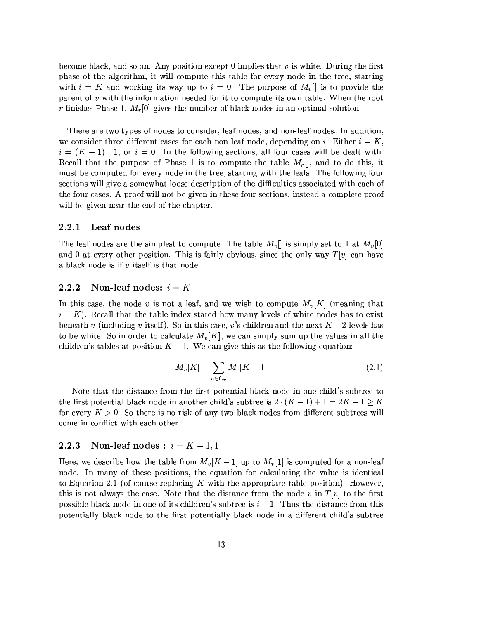become black, and so on. Any position except 0 implies that  $v$  is white. During the first phase of the algorithm, it will compute this table for every node in the tree, starting with  $i = K$  and working its way up to  $i = 0$ . The purpose of  $M_v[i]$  is to provide the parent of  $v$  with the information needed for it to compute its own table. When the root r finishes Phase 1,  $M_r[0]$  gives the number of black nodes in an optimal solution.

There are two types of nodes to consider, leaf nodes, and non-leaf nodes. In addition, we consider three different cases for each non-leaf node, depending on i: Either  $i = K$ ,  $i = (K - 1) : 1$ , or  $i = 0$ . In the following sections, all four cases will be dealt with. Recall that the purpose of Phase 1 is to compute the table  $M_r$ , and to do this, it must be computed for every node in the tree, starting with the leafs. The following four sections will give a somewhat loose description of the difficulties associated with each of the four cases. A proof will not be given in these four sections, instead a complete proof will be given near the end of the chapter.

#### $2.2.1$ Leaf nodes

The leaf nodes are the simplest to compute. The table  $M_v[]$  is simply set to 1 at  $M_v[0]$ and 0 at every other position. This is fairly obvious, since the only way  $T[v]$  can have a black node is if  $v$  itself is that node.

#### 2.2.2 Non-leaf nodes:  $i = K$

In this case, the node v is not a leaf, and we wish to compute  $M_v[K]$  (meaning that  $i = K$ ). Recall that the table index stated how many levels of white nodes has to exist beneath v (including v itself). So in this case, v's children and the next  $K-2$  levels has to be white. So in order to calculate  $M_{\nu}[K]$ , we can simply sum up the values in all the children's tables at position  $K - 1$ . We can give this as the following equation:

$$
M_v[K] = \sum_{c \in C_v} M_c[K-1] \tag{2.1}
$$

Note that the distance from the first potential black node in one child's subtree to the first potential black node in another child's subtree is  $2 \cdot (K-1) + 1 = 2K - 1 \geq K$ for every  $K > 0$ . So there is no risk of any two black nodes from different subtrees will come in conflict with each other.

#### Non-leaf nodes :  $i = K - 1, 1$  $2.2.3$

Here, we describe how the table from  $M_v[K-1]$  up to  $M_v[1]$  is computed for a non-leaf node. In many of these positions, the equation for calculating the value is identical to Equation 2.1 (of course replacing K with the appropriate table position). However, this is not always the case. Note that the distance from the node v in  $T[v]$  to the first possible black node in one of its children's subtree is  $i-1$ . Thus the distance from this potentially black node to the first potentially black node in a different child's subtree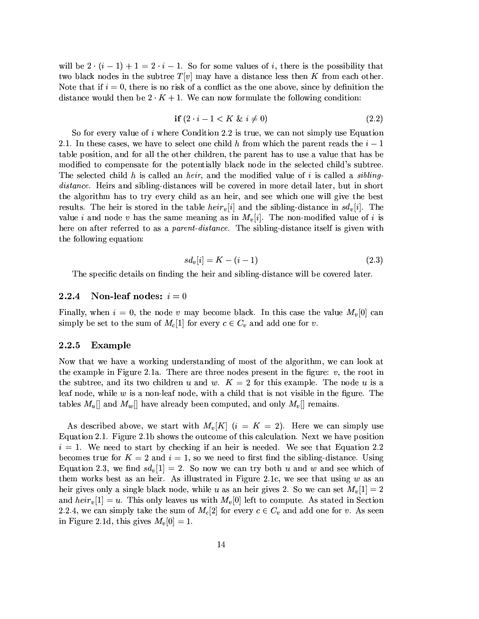will be  $2 \cdot (i-1) + 1 = 2 \cdot i - 1$ . So for some values of i, there is the possibility that two black nodes in the subtree  $T[v]$  may have a distance less then K from each other. Note that if  $i = 0$ , there is no risk of a conflict as the one above, since by definition the distance would then be  $2 \cdot K + 1$ . We can now formulate the following condition:

$$
if (2 \cdot i - 1 < K \& i \neq 0) \tag{2.2}
$$

So for every value of  $i$  where Condition 2.2 is true, we can not simply use Equation 2.1. In these cases, we have to select one child h from which the parent reads the  $i-1$ table position, and for all the other children, the parent has to use a value that has be modified to compensate for the potentially black node in the selected child's subtree. The selected child h is called an heir, and the modified value of i is called a sibling*distance*. Heirs and sibling-distances will be covered in more detail later, but in short the algorithm has to try every child as an heir, and see which one will give the best results. The heir is stored in the table  $heir_v[i]$  and the sibling-distance in  $sd_v[i]$ . The value i and node v has the same meaning as in  $M_v[i]$ . The non-modified value of i is here on after referred to as a *parent-distance*. The sibling-distance itself is given with the following equation:

$$
sd_v[i] = K - (i - 1) \tag{2.3}
$$

The specific details on finding the heir and sibling-distance will be covered later.

#### Non-leaf nodes:  $i=0$  $2.2.4$

Finally, when  $i = 0$ , the node v may become black. In this case the value  $M_v[0]$  can simply be set to the sum of  $M_c[1]$  for every  $c \in C_v$  and add one for v.

#### $2.2.5$ Example

Now that we have a working understanding of most of the algorithm, we can look at the example in Figure 2.1a. There are three nodes present in the figure:  $v$ , the root in the subtree, and its two children u and w.  $K = 2$  for this example. The node u is a leaf node, while  $w$  is a non-leaf node, with a child that is not visible in the figure. The tables  $M_u$ ] and  $M_w$ ] have already been computed, and only  $M_v$ ] remains.

As described above, we start with  $M_{\eta}[K]$   $(i = K = 2)$ . Here we can simply use Equation 2.1. Figure 2.1b shows the outcome of this calculation. Next we have position  $i = 1$ . We need to start by checking if an heir is needed. We see that Equation 2.2 becomes true for  $K = 2$  and  $i = 1$ , so we need to first find the sibling-distance. Using Equation 2.3, we find  $sd_v[1] = 2$ . So now we can try both u and w and see which of them works best as an heir. As illustrated in Figure 2.1c, we see that using  $w$  as an heir gives only a single black node, while u as an heir gives 2. So we can set  $M_v[1] = 2$ and  $heir_v[1] = u$ . This only leaves us with  $M_v[0]$  left to compute. As stated in Section 2.2.4, we can simply take the sum of  $M_c[2]$  for every  $c \in C_v$  and add one for v. As seen in Figure 2.1d, this gives  $M_v[0] = 1$ .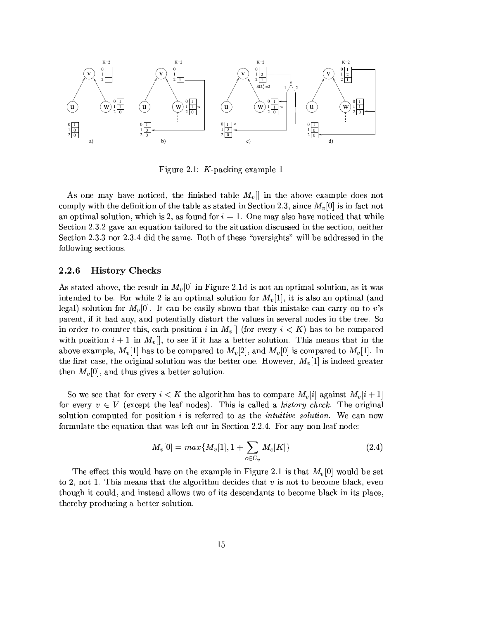

Figure 2.1:  $K$ -packing example 1

As one may have noticed, the finished table  $M_v[]$  in the above example does not comply with the definition of the table as stated in Section 2.3, since  $M_v[0]$  is in fact not an optimal solution, which is 2, as found for  $i = 1$ . One may also have noticed that while Section 2.3.2 gave an equation tailored to the situation discussed in the section, neither Section 2.3.3 nor 2.3.4 did the same. Both of these "oversights" will be addressed in the following sections.

#### 2.2.6 **History Checks**

As stated above, the result in  $M_v[0]$  in Figure 2.1d is not an optimal solution, as it was intended to be. For while 2 is an optimal solution for  $M_v[1]$ , it is also an optimal (and legal) solution for  $M_v[0]$ . It can be easily shown that this mistake can carry on to v's parent, if it had any, and potentially distort the values in several nodes in the tree. So in order to counter this, each position i in  $M_v[]$  (for every  $i < K$ ) has to be compared with position  $i+1$  in  $M_v$ , to see if it has a better solution. This means that in the above example,  $M_v[1]$  has to be compared to  $M_v[2]$ , and  $M_v[0]$  is compared to  $M_v[1]$ . In the first case, the original solution was the better one. However,  $M_v[1]$  is indeed greater then  $M_v[0]$ , and thus gives a better solution.

So we see that for every  $i < K$  the algorithm has to compare  $M_v[i]$  against  $M_v[i+1]$ for every  $v \in V$  (except the leaf nodes). This is called a *history check*. The original solution computed for position i is referred to as the *intuitive solution*. We can now formulate the equation that was left out in Section 2.2.4. For any non-leaf node:

$$
M_v[0] = max\{M_v[1], 1 + \sum_{c \in C_v} M_c[K]\}
$$
\n(2.4)

The effect this would have on the example in Figure 2.1 is that  $M_v[0]$  would be set to 2, not 1. This means that the algorithm decides that  $v$  is not to become black, even though it could, and instead allows two of its descendants to become black in its place. thereby producing a better solution.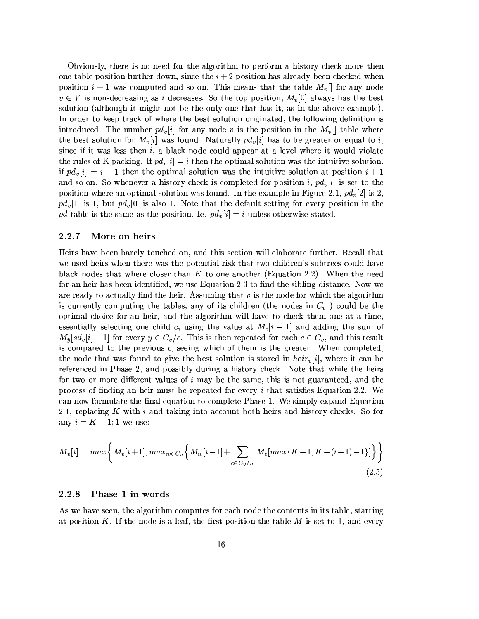Obviously, there is no need for the algorithm to perform a history check more then one table position further down, since the  $i + 2$  position has already been checked when position  $i+1$  was computed and so on. This means that the table  $M_v$  for any node  $v \in V$  is non-decreasing as i decreases. So the top position,  $M_v[0]$  always has the best solution (although it might not be the only one that has it, as in the above example). In order to keep track of where the best solution originated, the following definition is introduced: The number  $pd_v[i]$  for any node v is the position in the  $M_v[$  table where the best solution for  $M_v[i]$  was found. Naturally  $pd_v[i]$  has to be greater or equal to i, since if it was less then  $i$ , a black node could appear at a level where it would violate the rules of K-packing. If  $pd_v[i] = i$  then the optimal solution was the intuitive solution, if  $pd_v[i] = i + 1$  then the optimal solution was the intuitive solution at position  $i + 1$ and so on. So whenever a history check is completed for position i,  $pd<sub>v</sub> [i]$  is set to the position where an optimal solution was found. In the example in Figure 2.1,  $pd_v[2]$  is 2.  $pd_v[1]$  is 1, but  $pd_v[0]$  is also 1. Note that the default setting for every position in the pd table is the same as the position. Ie.  $pd_v[i] = i$  unless otherwise stated.

#### 2.2.7 More on heirs

Heirs have been barely touched on, and this section will elaborate further. Recall that we used heirs when there was the potential risk that two children's subtrees could have black nodes that where closer than K to one another (Equation 2.2). When the need for an heir has been identified, we use Equation 2.3 to find the sibling-distance. Now we are ready to actually find the heir. Assuming that  $v$  is the node for which the algorithm is currently computing the tables, any of its children (the nodes in  $C_v$ ) could be the optimal choice for an heir, and the algorithm will have to check them one at a time, essentially selecting one child c, using the value at  $M_c[i-1]$  and adding the sum of  $M_y[sd_y[i]-1]$  for every  $y \in C_y/c$ . This is then repeated for each  $c \in C_y$ , and this result is compared to the previous  $c$ , seeing which of them is the greater. When completed. the node that was found to give the best solution is stored in  $heir_v[i]$ , where it can be referenced in Phase 2, and possibly during a history check. Note that while the heirs for two or more different values of  $i$  may be the same, this is not guaranteed, and the process of finding an heir must be repeated for every  $i$  that satisfies Equation 2.2. We can now formulate the final equation to complete Phase 1. We simply expand Equation 2.1, replacing  $K$  with  $i$  and taking into account both heirs and history checks. So for any  $i = K - 1$ ; 1 we use:

$$
M_{v}[i] = max \bigg\{ M_{v}[i+1], max_{w \in C_{v}} \bigg\{ M_{w}[i-1] + \sum_{c \in C_{v}/w} M_{c}[max\{K-1, K-(i-1)-1\}] \bigg\} \bigg\}
$$
\n(2.5)

#### 2.2.8 Phase 1 in words

As we have seen, the algorithm computes for each node the contents in its table, starting at position K. If the node is a leaf, the first position the table M is set to 1, and every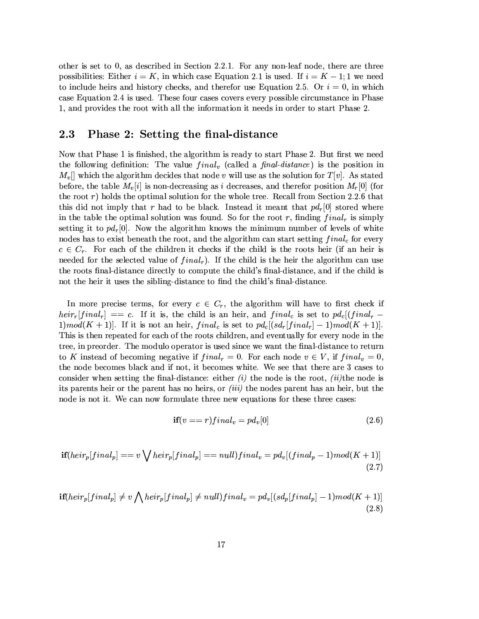other is set to  $0$ , as described in Section 2.2.1. For any non-leaf node, there are three possibilities: Either  $i = K$ , in which case Equation 2.1 is used. If  $i = K - 1$ ; 1 we need to include heirs and history checks, and therefor use Equation 2.5. Or  $i = 0$ , in which case Equation 2.4 is used. These four cases covers every possible circumstance in Phase 1, and provides the root with all the information it needs in order to start Phase 2.

#### $\bf 2.3$ Phase 2: Setting the final-distance

Now that Phase 1 is finished, the algorithm is ready to start Phase 2. But first we need the following definition: The value  $final_v$  (called a final-distance) is the position in  $M_v$ ] which the algorithm decides that node v will use as the solution for  $T[v]$ . As stated before, the table  $M_v[i]$  is non-decreasing as i decreases, and therefor position  $M_v[0]$  (for the root  $r$ ) holds the optimal solution for the whole tree. Recall from Section 2.2.6 that this did not imply that r had to be black. Instead it meant that  $pd_r[0]$  stored where in the table the optimal solution was found. So for the root r, finding  $final_r$  is simply setting it to  $pd_r[0]$ . Now the algorithm knows the minimum number of levels of white nodes has to exist beneath the root, and the algorithm can start setting  $final_c$  for every  $c \in C_r$ . For each of the children it checks if the child is the roots heir (if an heir is needed for the selected value of  $final_r$ ). If the child is the heir the algorithm can use the roots final-distance directly to compute the child's final-distance, and if the child is not the heir it uses the sibling-distance to find the child's final-distance.

In more precise terms, for every  $c \in C_r$ , the algorithm will have to first check if  $heir_r[final_r] = c$ . If it is, the child is an heir, and final<sub>c</sub> is set to  $pd_c[final_r -$ 1)mod(K + 1)]. If it is not an heir, final<sub>c</sub> is set to  $pd_c[(sd_r[final_r]-1)mod(K+1)]$ . This is then repeated for each of the roots children, and eventually for every node in the tree, in preorder. The modulo operator is used since we want the final-distance to return to K instead of becoming negative if  $final_r = 0$ . For each node  $v \in V$ , if  $final_v = 0$ . the node becomes black and if not, it becomes white. We see that there are 3 cases to consider when setting the final-distance: either  $(i)$  the node is the root,  $(ii)$ the node is its parents heir or the parent has no heirs, or *(iii)* the nodes parent has an heir, but the node is not it. We can now formulate three new equations for these three cases:

$$
\mathbf{if}(v == r) final_v = pd_v[0] \tag{2.6}
$$

$$
\mathbf{if}(heir_p[final_p] == v \bigvee heir_p[final_p] == null) final_v = pd_v[(final_p - 1)mod(K + 1)] \tag{2.7}
$$

$$
\mathbf{if}(heir_p[final_p] \neq v \bigwedge heir_p[final_p] \neq null) final_v = pd_v[(sd_p[final_p] - 1)mod(K + 1)] \tag{2.8}
$$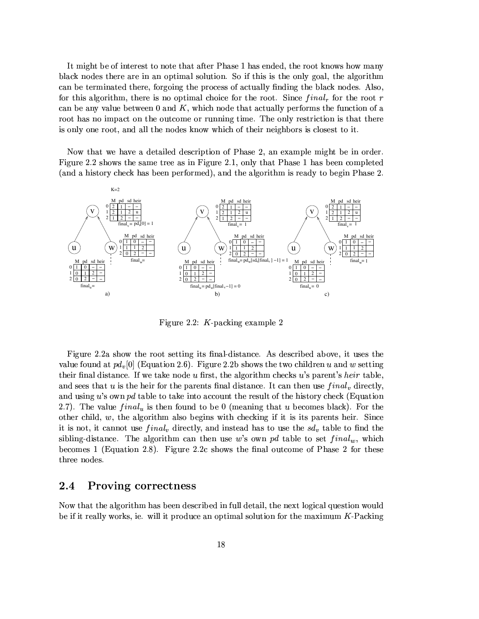It might be of interest to note that after Phase 1 has ended, the root knows how many black nodes there are in an optimal solution. So if this is the only goal, the algorithm can be terminated there, forgoing the process of actually finding the black nodes. Also, for this algorithm, there is no optimal choice for the root. Since  $final_r$  for the root r can be any value between  $0$  and  $K$ , which node that actually performs the function of a root has no impact on the outcome or running time. The only restriction is that there is only one root, and all the nodes know which of their neighbors is closest to it.

Now that we have a detailed description of Phase 2, an example might be in order. Figure 2.2 shows the same tree as in Figure 2.1, only that Phase 1 has been completed (and a history check has been performed), and the algorithm is ready to begin Phase 2.



Figure 2.2:  $K$ -packing example 2

Figure 2.2a show the root setting its final-distance. As described above, it uses the value found at  $pd_v[0]$  (Equation 2.6). Figure 2.2b shows the two children u and w setting their final distance. If we take node u first, the algorithm checks u's parent's heir table. and sees that  $u$  is the heir for the parents final distance. It can then use  $final_v$  directly, and using u's own pd table to take into account the result of the history check (Equation 2.7). The value  $final_u$  is then found to be 0 (meaning that u becomes black). For the other child,  $w$ , the algorithm also begins with checking if it is its parents heir. Since it is not, it cannot use  $final_v$  directly, and instead has to use the  $sd_v$  table to find the sibling-distance. The algorithm can then use w's own pd table to set  $final_w$ , which becomes 1 (Equation 2.8). Figure 2.2c shows the final outcome of Phase 2 for these three nodes.

#### 2.4 **Proving correctness**

Now that the algorithm has been described in full detail, the next logical question would be if it really works, ie. will it produce an optimal solution for the maximum  $K$ -Packing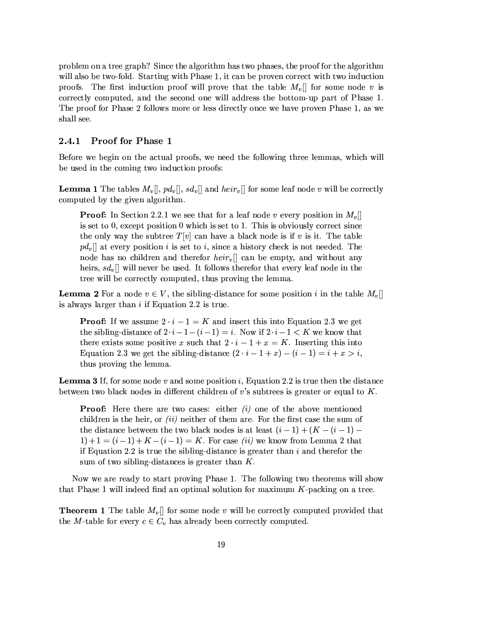problem on a tree graph? Since the algorithm has two phases, the proof for the algorithm will also be two-fold. Starting with Phase 1, it can be proven correct with two induction proofs. The first induction proof will prove that the table  $M_v$  for some node v is correctly computed, and the second one will address the bottom-up part of Phase 1. The proof for Phase 2 follows more or less directly once we have proven Phase 1, as we shall see.

#### 2.4.1 Proof for Phase 1

Before we begin on the actual proofs, we need the following three lemmas, which will be used in the coming two induction proofs:

**Lemma 1** The tables  $M_v[[, pd_v[[, sd_v]]$  and  $heir_v[[$  for some leaf node v will be correctly computed by the given algorithm.

**Proof:** In Section 2.2.1 we see that for a leaf node v every position in  $M_v$ is set to 0, except position 0 which is set to 1. This is obviously correct since the only way the subtree  $T[v]$  can have a black node is if v is it. The table  $pd_v$  at every position i is set to i, since a history check is not needed. The node has no children and therefor  $heir_v$  can be empty, and without any heirs,  $sd_v$ , will never be used. It follows therefor that every leaf node in the tree will be correctly computed, thus proving the lemma.

**Lemma 2** For a node  $v \in V$ , the sibling-distance for some position i in the table  $M_v$ is always larger than  $i$  if Equation 2.2 is true.

**Proof:** If we assume  $2 \cdot i - 1 = K$  and insert this into Equation 2.3 we get the sibling-distance of  $2 \cdot i - 1 - (i - 1) = i$ . Now if  $2 \cdot i - 1 < K$  we know that there exists some positive x such that  $2 \cdot i - 1 + x = K$ . Inserting this into Equation 2.3 we get the sibling-distance  $(2 \cdot i - 1 + x) - (i - 1) = i + x > i$ , thus proving the lemma.

**Lemma 3** If, for some node v and some position i, Equation 2.2 is true then the distance between two black nodes in different children of v's subtrees is greater or equal to  $K$ .

**Proof:** Here there are two cases: either  $(i)$  one of the above mentioned children is the heir, or *(ii)* neither of them are. For the first case the sum of the distance between the two black nodes is at least  $(i-1) + (K - (i-1) 1+1 = (i-1)+K-(i-1) = K$ . For case *(ii)* we know from Lemma 2 that if Equation 2.2 is true the sibling-distance is greater than  $i$  and therefor the sum of two sibling-distances is greater than  $K$ .

Now we are ready to start proving Phase 1. The following two theorems will show that Phase 1 will indeed find an optimal solution for maximum K-packing on a tree.

**Theorem 1** The table  $M_v$ ] for some node v will be correctly computed provided that the M-table for every  $c \in C_v$  has already been correctly computed.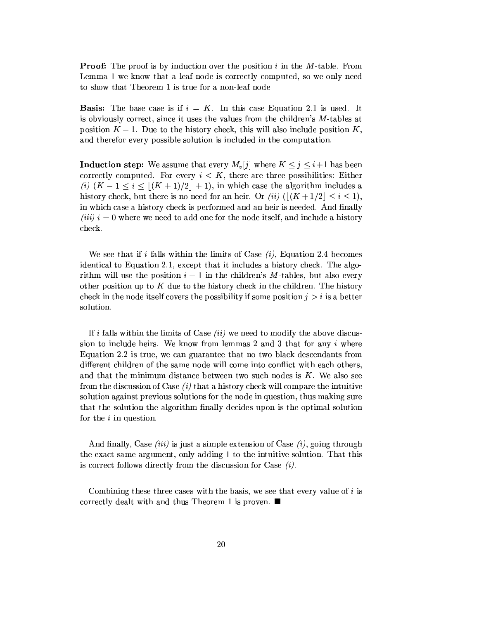**Proof:** The proof is by induction over the position i in the M-table. From Lemma 1 we know that a leaf node is correctly computed, so we only need to show that Theorem 1 is true for a non-leaf node

**Basis:** The base case is if  $i = K$ . In this case Equation 2.1 is used. It is obviously correct, since it uses the values from the children's M-tables at position  $K-1$ . Due to the history check, this will also include position K, and therefor every possible solution is included in the computation.

**Induction step:** We assume that every  $M_v[j]$  where  $K \leq j \leq i+1$  has been correctly computed. For every  $i < K$ , there are three possibilities: Either (i)  $(K-1 \leq i \leq |(K+1)/2|+1)$ , in which case the algorithm includes a history check, but there is no need for an heir. Or (ii)  $(|(K + 1/2)| \le i \le 1)$ , in which case a history check is performed and an heir is needed. And finally  $(iii)$  i = 0 where we need to add one for the node itself, and include a history check.

We see that if i falls within the limits of Case  $(i)$ , Equation 2.4 becomes identical to Equation 2.1, except that it includes a history check. The algorithm will use the position  $i-1$  in the children's M-tables, but also every other position up to  $K$  due to the history check in the children. The history check in the node itself covers the possibility if some position  $j > i$  is a better solution.

If i falls within the limits of Case  $(ii)$  we need to modify the above discussion to include heirs. We know from lemmas  $2$  and  $3$  that for any  $i$  where Equation 2.2 is true, we can guarantee that no two black descendants from different children of the same node will come into conflict with each others, and that the minimum distance between two such nodes is  $K$ . We also see from the discussion of Case  $(i)$  that a history check will compare the intuitive solution against previous solutions for the node in question, thus making sure that the solution the algorithm finally decides upon is the optimal solution for the  $i$  in question.

And finally, Case *(iii)* is just a simple extension of Case  $(i)$ , going through the exact same argument, only adding 1 to the intuitive solution. That this is correct follows directly from the discussion for Case  $(i)$ .

Combining these three cases with the basis, we see that every value of i is correctly dealt with and thus Theorem 1 is proven.  $\blacksquare$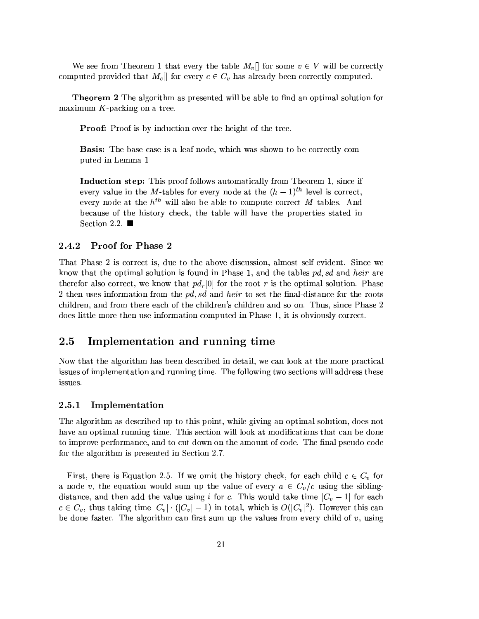We see from Theorem 1 that every the table  $M_v$  for some  $v \in V$  will be correctly computed provided that  $M_c$  for every  $c \in C_v$  has already been correctly computed.

**Theorem 2** The algorithm as presented will be able to find an optimal solution for maximum  $K$ -packing on a tree.

Proof: Proof is by induction over the height of the tree.

**Basis:** The base case is a leaf node, which was shown to be correctly computed in Lemma 1

Induction step: This proof follows automatically from Theorem 1, since if every value in the M-tables for every node at the  $(h-1)^{th}$  level is correct. every node at the  $h^{th}$  will also be able to compute correct M tables. And because of the history check, the table will have the properties stated in Section 2.2.  $\blacksquare$ 

#### 2.4.2 **Proof for Phase 2**

That Phase 2 is correct is, due to the above discussion, almost self-evident. Since we know that the optimal solution is found in Phase 1, and the tables pd, sd and heir are therefor also correct, we know that  $pd_r[0]$  for the root r is the optimal solution. Phase 2 then uses information from the pd, sd and heir to set the final-distance for the roots children, and from there each of the children's children and so on. Thus, since Phase 2 does little more then use information computed in Phase 1, it is obviously correct.

#### $2.5\,$ Implementation and running time

Now that the algorithm has been described in detail, we can look at the more practical issues of implementation and running time. The following two sections will address these issues.

#### 2.5.1 Implementation

The algorithm as described up to this point, while giving an optimal solution, does not have an optimal running time. This section will look at modifications that can be done to improve performance, and to cut down on the amount of code. The final pseudo code for the algorithm is presented in Section 2.7.

First, there is Equation 2.5. If we omit the history check, for each child  $c \in C_v$  for a node v, the equation would sum up the value of every  $a \in C_v/c$  using the siblingdistance, and then add the value using i for c. This would take time  $|C_v - 1|$  for each  $c \in C_v$ , thus taking time  $|C_v| \cdot (|C_v| - 1)$  in total, which is  $O(|C_v|^2)$ . However this can be done faster. The algorithm can first sum up the values from every child of  $v$ , using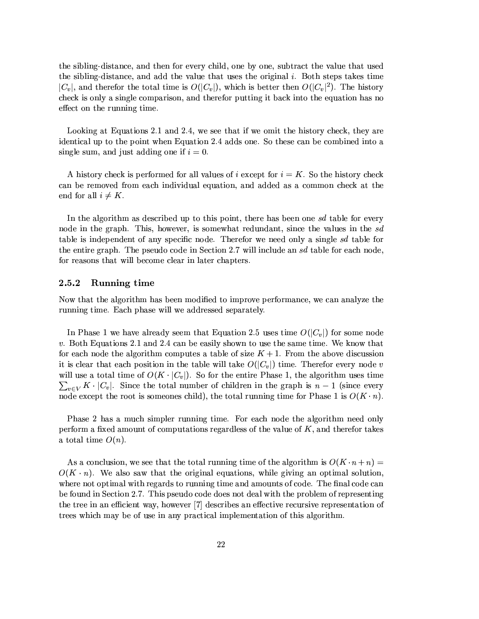the sibling-distance, and then for every child, one by one, subtract the value that used the sibling-distance, and add the value that uses the original i. Both steps takes time  $|C_v|$ , and therefor the total time is  $O(|C_v|)$ , which is better then  $O(|C_v|^2)$ . The history check is only a single comparison, and therefor putting it back into the equation has no effect on the running time.

Looking at Equations 2.1 and 2.4, we see that if we omit the history check, they are identical up to the point when Equation 2.4 adds one. So these can be combined into a single sum, and just adding one if  $i = 0$ .

A history check is performed for all values of i except for  $i = K$ . So the history check can be removed from each individual equation, and added as a common check at the end for all  $i \neq K$ .

In the algorithm as described up to this point, there has been one sd table for every node in the graph. This, however, is somewhat redundant, since the values in the sd table is independent of any specific node. Therefor we need only a single sd table for the entire graph. The pseudo code in Section 2.7 will include an sd table for each node, for reasons that will become clear in later chapters.

#### 2.5.2 Running time

Now that the algorithm has been modified to improve performance, we can analyze the running time. Each phase will we addressed separately.

In Phase 1 we have already seem that Equation 2.5 uses time  $O(|C_v|)$  for some node v. Both Equations 2.1 and 2.4 can be easily shown to use the same time. We know that for each node the algorithm computes a table of size  $K + 1$ . From the above discussion it is clear that each position in the table will take  $O(|C_v|)$  time. Therefor every node v will use a total time of  $O(K \cdot |C_v|)$ . So for the entire Phase 1, the algorithm uses time  $\sum_{v \in V} K \cdot |C_v|$ . Since the total number of children in the graph is  $n-1$  (since every node except the root is someones child), the total running time for Phase 1 is  $O(K \cdot n)$ .

Phase 2 has a much simpler running time. For each node the algorithm need only perform a fixed amount of computations regardless of the value of  $K$ , and therefor takes a total time  $O(n)$ .

As a conclusion, we see that the total running time of the algorithm is  $O(K \cdot n + n)$  $O(K \cdot n)$ . We also saw that the original equations, while giving an optimal solution, where not optimal with regards to running time and amounts of code. The final code can be found in Section 2.7. This pseudo code does not deal with the problem of representing the tree in an efficient way, however [7] describes an effective recursive representation of trees which may be of use in any practical implementation of this algorithm.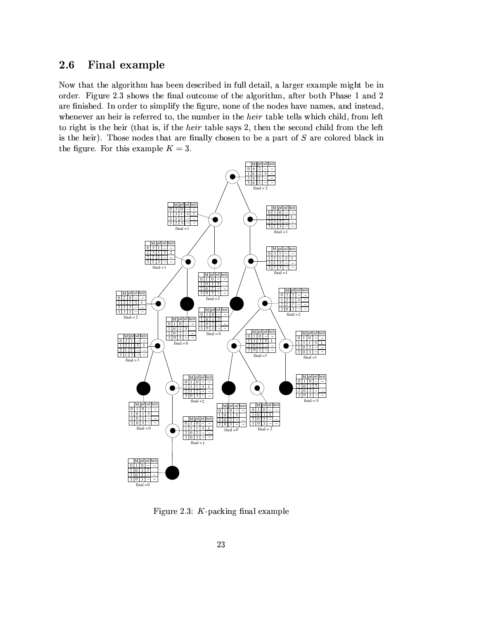#### $2.6$ Final example

Now that the algorithm has been described in full detail, a larger example might be in order. Figure 2.3 shows the final outcome of the algorithm, after both Phase 1 and 2 are finished. In order to simplify the figure, none of the nodes have names, and instead, whenever an heir is referred to, the number in the heir table tells which child, from left to right is the heir (that is, if the *heir* table says 2, then the second child from the left is the heir). Those nodes that are finally chosen to be a part of  $S$  are colored black in the figure. For this example  $K = 3$ .



Figure 2.3:  $K$ -packing final example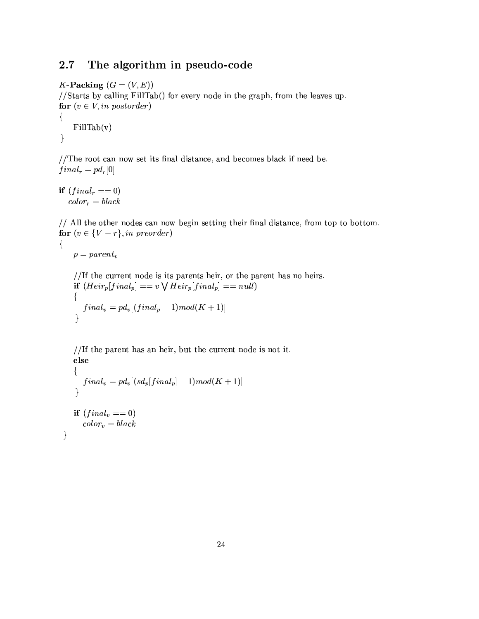#### The algorithm in pseudo-code  $2.7$

K-Packing  $(G = (V, E))$ 

//Starts by calling FillTab() for every node in the graph, from the leaves up. for  $(v \in V, in\ postorder)$ 

 $\{$  $FillTab(v)$  $\}$ 

//The root can now set its final distance, and becomes black if need be.  $final_r = pd_r[0]$ 

if  $(final_r == 0)$  $color_r = black$ 

// All the other nodes can now begin setting their final distance, from top to bottom. for  $(v \in \{V - r\}, in \ preorder)$ 

 $p = parent_v$ 

 $\{$ 

}

//If the current node is its parents heir, or the parent has no heirs. if  $(Heir_p[final_p] == v \vee Heir_p[final_p] == null)$  $\{$  $final_v=pd_v[(final_p-1)mod(K+1)]$  $\}$ 

//If the parent has an heir, but the current node is not it. else

```
\{final_v = pd_v[(sd_p[final_p] - 1)mod(K + 1)]\mathcal{E}if (final_v == 0)color_v = black
```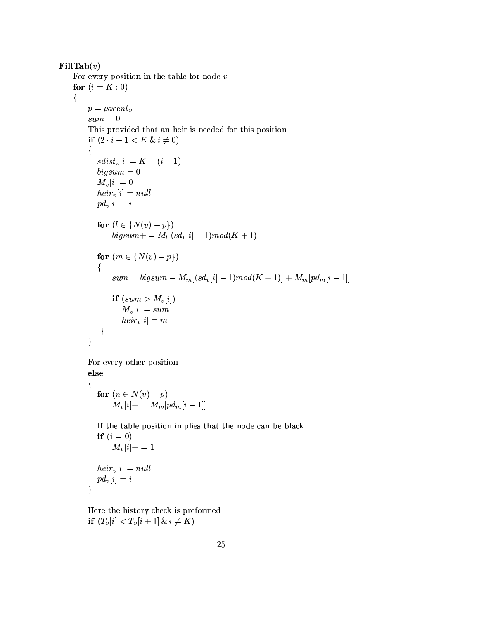```
\textbf{FillTab}(v)For every position in the table for node vfor (i = K : 0)\{p = parent_vsum = 0This provided that an heir is needed for this position
        if (2 \cdot i - 1 < K \& i \neq 0)\{sdist_v[i] = K - (i-1)bigsum = 0M_v[i]=0heir_v[i] = nullpd_v[i] = ifor (l \in \{N(v) - p\})bigsum + = M_l[(sd_v[i]-1)mod(K+1)]for (m \in \{N(v) - p\})\{sum = bigsum - M_m[(sd_v[i] - 1)mod(K + 1)] + M_m[pd_m[i - 1]]if (sum > M_v[i])M_v[i] = sumheir_v[i] = m}
        \}For every other position
        else
        \{for (n \in N(v) - p)M_v[i] + = M_m[pd_m[i-1]]If the table position implies that the node can be black
          if (i = 0)M_v[i] += 1heir_v[i] = nullpd_v[i] = i\}
```
Here the history check is preformed if  $(T_v[i] < T_v[i+1] \& i \neq K)$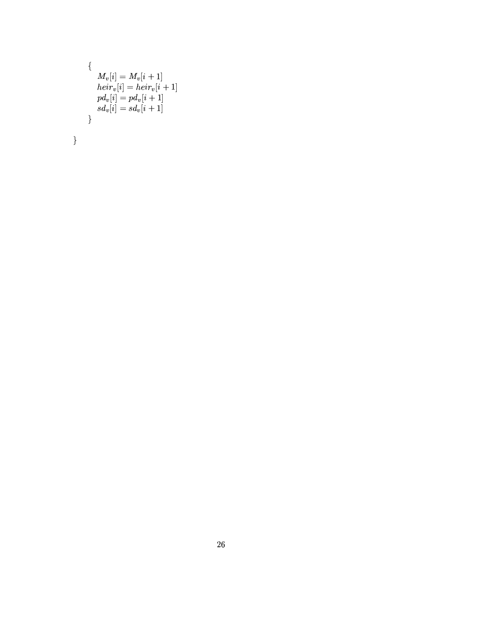```
\{M_v[i] = M_v[i+1] \ \mathop{heir}_v[i] = \mathop{heir}_v[i+1] \ \mathop{pd}_v[i] = \mathop{pd}_v[i+1] \ \mathop{sd}_v[i] = \mathop{sd}_v[i+1]\}\Big\}
```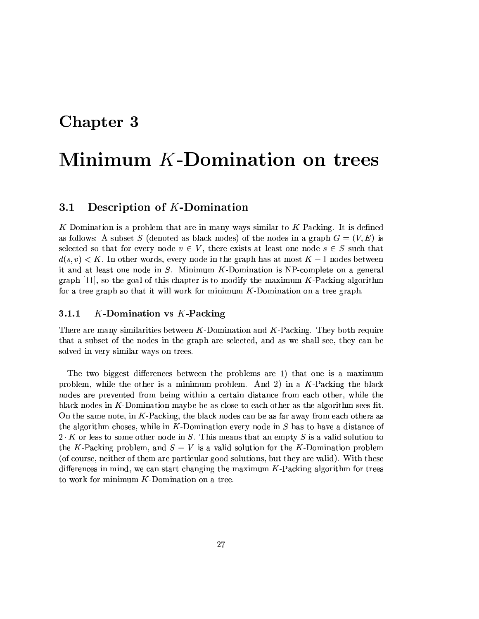### Chapter 3

# Minimum K-Domination on trees

#### $3.1$ Description of K-Domination

K-Domination is a problem that are in many ways similar to  $K$ -Packing. It is defined as follows: A subset S (denoted as black nodes) of the nodes in a graph  $G = (V, E)$  is selected so that for every node  $v \in V$ , there exists at least one node  $s \in S$  such that  $d(s, v) \leq K$ . In other words, every node in the graph has at most  $K-1$  nodes between it and at least one node in  $S$ . Minimum  $K$ -Domination is NP-complete on a general graph [11], so the goal of this chapter is to modify the maximum  $K$ -Packing algorithm for a tree graph so that it will work for minimum  $K$ -Domination on a tree graph.

#### 3.1.1  $K$ -Domination vs  $K$ -Packing

There are many similarities between  $K$ -Domination and  $K$ -Packing. They both require that a subset of the nodes in the graph are selected, and as we shall see, they can be solved in very similar ways on trees.

The two biggest differences between the problems are 1) that one is a maximum problem, while the other is a minimum problem. And 2) in a  $K$ -Packing the black nodes are prevented from being within a certain distance from each other, while the black nodes in  $K$ -Domination maybe be as close to each other as the algorithm sees fit. On the same note, in  $K$ -Packing, the black nodes can be as far away from each others as the algorithm choses, while in K-Domination every node in  $S$  has to have a distance of  $2 \cdot K$  or less to some other node in S. This means that an empty S is a valid solution to the K-Packing problem, and  $S = V$  is a valid solution for the K-Domination problem (of course, neither of them are particular good solutions, but they are valid). With these differences in mind, we can start changing the maximum  $K$ -Packing algorithm for trees to work for minimum  $K$ -Domination on a tree.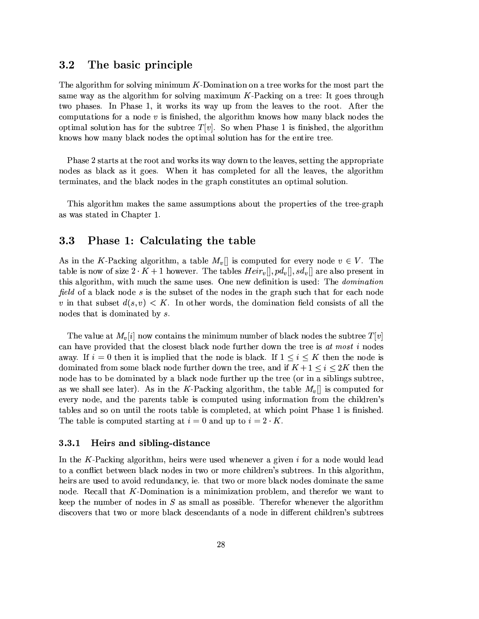#### $3.2$ The basic principle

The algorithm for solving minimum K-Domination on a tree works for the most part the same way as the algorithm for solving maximum  $K$ -Packing on a tree: It goes through two phases. In Phase 1, it works its way up from the leaves to the root. After the computations for a node  $v$  is finished, the algorithm knows how many black nodes the optimal solution has for the subtree  $T[v]$ . So when Phase 1 is finished, the algorithm knows how many black nodes the optimal solution has for the entire tree.

Phase 2 starts at the root and works its way down to the leaves, setting the appropriate nodes as black as it goes. When it has completed for all the leaves, the algorithm terminates, and the black nodes in the graph constitutes an optimal solution.

This algorithm makes the same assumptions about the properties of the tree-graph as was stated in Chapter 1.

#### Phase 1: Calculating the table  $3.3$

As in the K-Packing algorithm, a table  $M_v$  is computed for every node  $v \in V$ . The table is now of size  $2 \cdot K + 1$  however. The tables  $Heir_n, \partial_n, \partial_n, \partial_n$  are also present in this algorithm, with much the same uses. One new definition is used: The *domination* field of a black node s is the subset of the nodes in the graph such that for each node v in that subset  $d(s, v) < K$ . In other words, the domination field consists of all the nodes that is dominated by  $s$ .

The value at  $M_v[i]$  now contains the minimum number of black nodes the subtree  $T[v]$ can have provided that the closest black node further down the tree is at most i nodes away. If  $i=0$  then it is implied that the node is black. If  $1 \leq i \leq K$  then the node is dominated from some black node further down the tree, and if  $K + 1 \leq i \leq 2K$  then the node has to be dominated by a black node further up the tree (or in a siblings subtree. as we shall see later). As in the K-Packing algorithm, the table  $M_v$  is computed for every node, and the parents table is computed using information from the children's tables and so on until the roots table is completed, at which point Phase 1 is finished. The table is computed starting at  $i = 0$  and up to  $i = 2 \cdot K$ .

#### $3.3.1$ Heirs and sibling-distance

In the K-Packing algorithm, heirs were used whenever a given  $i$  for a node would lead to a conflict between black nodes in two or more children's subtrees. In this algorithm, heirs are used to avoid redundancy, ie. that two or more black nodes dominate the same node. Recall that K-Domination is a minimization problem, and therefor we want to keep the number of nodes in  $S$  as small as possible. Therefor whenever the algorithm discovers that two or more black descendants of a node in different children's subtrees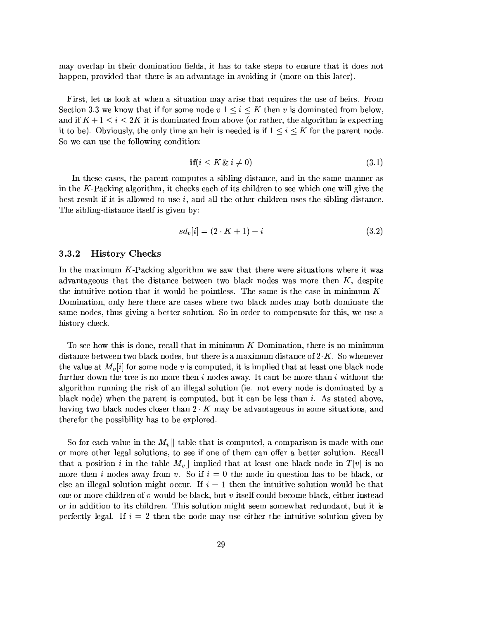may overlap in their domination fields, it has to take steps to ensure that it does not happen, provided that there is an advantage in avoiding it (more on this later).

First, let us look at when a situation may arise that requires the use of heirs. From Section 3.3 we know that if for some node  $v \in \{1 \leq i \leq K \text{ then } v \text{ is dominated from below,}\}$ and if  $K+1 \leq i \leq 2K$  it is dominated from above (or rather, the algorithm is expecting it to be). Obviously, the only time an heir is needed is if  $1 \leq i \leq K$  for the parent node. So we can use the following condition:

$$
\textbf{if}(i \le K \ \& \ i \ne 0) \tag{3.1}
$$

In these cases, the parent computes a sibling-distance, and in the same manner as in the  $K$ -Packing algorithm, it checks each of its children to see which one will give the best result if it is allowed to use  $i$ , and all the other children uses the sibling-distance. The sibling-distance itself is given by:

$$
sd_v[i] = (2 \cdot K + 1) - i \tag{3.2}
$$

#### 3.3.2 **History Checks**

In the maximum  $K$ -Packing algorithm we saw that there were situations where it was advantageous that the distance between two black nodes was more then  $K$ , despite the intuitive notion that it would be pointless. The same is the case in minimum  $K$ -Domination, only here there are cases where two black nodes may both dominate the same nodes, thus giving a better solution. So in order to compensate for this, we use a history check.

To see how this is done, recall that in minimum  $K$ -Domination, there is no minimum distance between two black nodes, but there is a maximum distance of  $2 K$ . So whenever the value at  $M_n[i]$  for some node v is computed, it is implied that at least one black node further down the tree is no more then  $i$  nodes away. It cant be more than  $i$  without the algorithm running the risk of an illegal solution (ie. not every node is dominated by a black node) when the parent is computed, but it can be less than i. As stated above, having two black nodes closer than  $2 \cdot K$  may be advantageous in some situations, and therefor the possibility has to be explored.

So for each value in the  $M_v$ ] table that is computed, a comparison is made with one or more other legal solutions, to see if one of them can offer a better solution. Recall that a position i in the table  $M_v[]$  implied that at least one black node in  $T[v]$  is no more then i nodes away from v. So if  $i = 0$  the node in question has to be black, or else an illegal solution might occur. If  $i = 1$  then the intuitive solution would be that one or more children of  $v$  would be black, but  $v$  itself could become black, either instead or in addition to its children. This solution might seem somewhat redundant, but it is perfectly legal. If  $i = 2$  then the node may use either the intuitive solution given by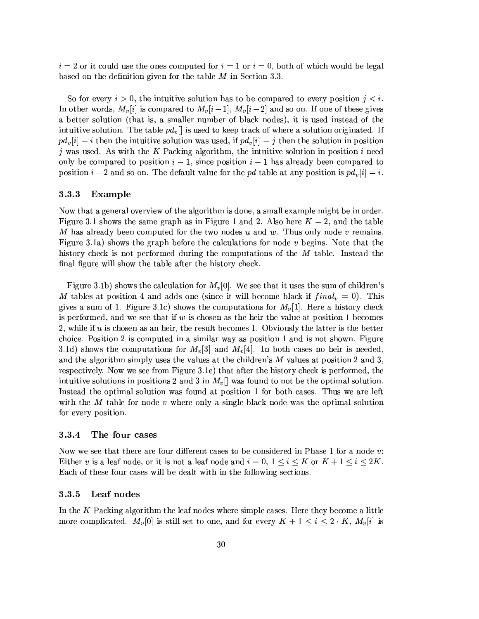$i=2$  or it could use the ones computed for  $i=1$  or  $i=0$ , both of which would be legal based on the definition given for the table  $M$  in Section 3.3.

So for every  $i > 0$ , the intuitive solution has to be compared to every position  $j < i$ . In other words,  $M_v[i]$  is compared to  $M_v[i-1]$ ,  $M_v[i-2]$  and so on. If one of these gives a better solution (that is, a smaller number of black nodes), it is used instead of the intuitive solution. The table  $pd_v$  is used to keep track of where a solution originated. If  $pd_v[i] = i$  then the intuitive solution was used, if  $pd_v[i] = j$  then the solution in position j was used. As with the K-Packing algorithm, the intuitive solution in position  $i$  need only be compared to position  $i-1$ , since position  $i-1$  has already been compared to position  $i-2$  and so on. The default value for the pd table at any position is  $pd_v[i] = i$ .

#### **Example**  $3.3.3$

Now that a general overview of the algorithm is done, a small example might be in order. Figure 3.1 shows the same graph as in Figure 1 and 2. Also here  $K = 2$ , and the table M has already been computed for the two nodes  $u$  and  $w$ . Thus only node  $v$  remains. Figure 3.1a) shows the graph before the calculations for node  $v$  begins. Note that the history check is not performed during the computations of the M table. Instead the final figure will show the table after the history check.

Figure 3.1b) shows the calculation for  $M_v[0]$ . We see that it uses the sum of children's M-tables at position 4 and adds one (since it will become black if  $final_v = 0$ ). This gives a sum of 1. Figure 3.1c) shows the computations for  $M_{\eta}[1]$ . Here a history check is performed, and we see that if  $w$  is chosen as the heir the value at position 1 becomes 2, while if u is chosen as an heir, the result becomes 1. Obviously the latter is the better choice. Position 2 is computed in a similar way as position 1 and is not shown. Figure 3.1d) shows the computations for  $M_v[3]$  and  $M_v[4]$ . In both cases no heir is needed, and the algorithm simply uses the values at the children's  $M$  values at position 2 and 3. respectively. Now we see from Figure 3.1e) that after the history check is performed, the intuitive solutions in positions 2 and 3 in  $M_v$ ] was found to not be the optimal solution. Instead the optimal solution was found at position 1 for both cases. Thus we are left with the  $M$  table for node  $v$  where only a single black node was the optimal solution for every position.

#### $3.3.4$ The four cases

Now we see that there are four different cases to be considered in Phase 1 for a node v. Either v is a leaf node, or it is not a leaf node and  $i = 0, 1 \le i \le K$  or  $K + 1 \le i \le 2K$ . Each of these four cases will be dealt with in the following sections.

#### Leaf nodes 3.3.5

In the  $K$ -Packing algorithm the leaf nodes where simple cases. Here they become a little more complicated.  $M_v[0]$  is still set to one, and for every  $K + 1 \leq i \leq 2 \cdot K$ ,  $M_v[i]$  is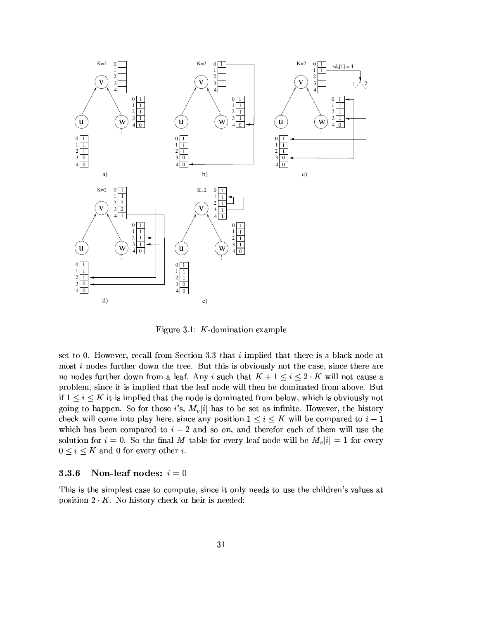

Figure 3.1:  $K$ -domination example

set to 0. However, recall from Section 3.3 that  $i$  implied that there is a black node at most *i* nodes further down the tree. But this is obviously not the case, since there are no nodes further down from a leaf. Any i such that  $K + 1 \leq i \leq 2 \cdot K$  will not cause a problem, since it is implied that the leaf node will then be dominated from above. But if  $1 \leq i \leq K$  it is implied that the node is dominated from below, which is obviously not going to happen. So for those i's,  $M_v[i]$  has to be set as infinite. However, the history check will come into play here, since any position  $1 \leq i \leq K$  will be compared to  $i-1$ which has been compared to  $i-2$  and so on, and therefor each of them will use the solution for  $i = 0$ . So the final M table for every leaf node will be  $M_v[i] = 1$  for every  $0 \leq i \leq K$  and 0 for every other *i*.

#### Non-leaf nodes:  $i = 0$ 3.3.6

This is the simplest case to compute, since it only needs to use the children's values at position  $2 \cdot K$ . No history check or heir is needed: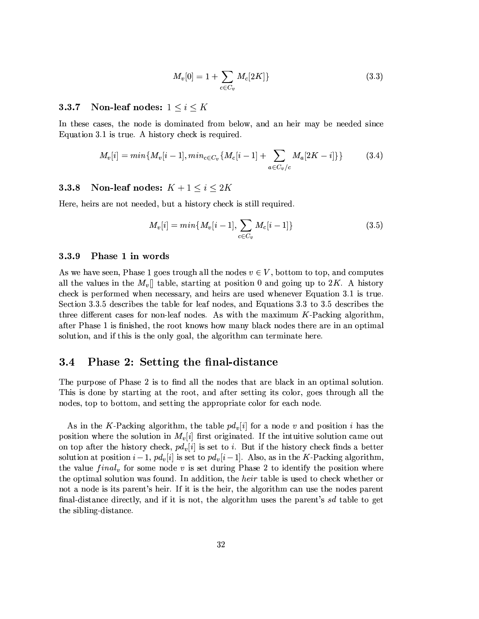$$
M_v[0] = 1 + \sum_{c \in C_v} M_c[2K] \}
$$
\n(3.3)

#### Non-leaf nodes:  $1 \leq i \leq K$ 3.3.7

In these cases, the node is dominated from below, and an heir may be needed since Equation 3.1 is true. A history check is required.

$$
M_v[i] = min\{M_v[i-1], min_{c \in C_v} \{M_c[i-1] + \sum_{a \in C_v/c} M_a[2K - i] \}\}
$$
(3.4)

#### Non-leaf nodes:  $K + 1 \le i \le 2K$ 3.3.8

Here, heirs are not needed, but a history check is still required.

$$
M_v[i] = min\{M_v[i-1], \sum_{c \in C_v} M_c[i-1]\}
$$
\n(3.5)

#### 3.3.9 Phase 1 in words

As we have seen, Phase 1 goes trough all the nodes  $v \in V$ , bottom to top, and computes all the values in the  $M_v$  table, starting at position 0 and going up to 2K. A history check is performed when necessary, and heirs are used whenever Equation 3.1 is true. Section 3.3.5 describes the table for leaf nodes, and Equations 3.3 to 3.5 describes the three different cases for non-leaf nodes. As with the maximum  $K$ -Packing algorithm. after Phase 1 is finished, the root knows how many black nodes there are in an optimal solution, and if this is the only goal, the algorithm can terminate here.

#### $3.4$ Phase 2: Setting the final-distance

The purpose of Phase 2 is to find all the nodes that are black in an optimal solution. This is done by starting at the root, and after setting its color, goes through all the nodes, top to bottom, and setting the appropriate color for each node.

As in the K-Packing algorithm, the table  $pd_v[i]$  for a node v and position i has the position where the solution in  $M_v[i]$  first originated. If the intuitive solution came out on top after the history check,  $pd_v[i]$  is set to i. But if the history check finds a better solution at position  $i-1$ ,  $pd_v[i]$  is set to  $pd_v[i-1]$ . Also, as in the K-Packing algorithm. the value  $final_v$  for some node v is set during Phase 2 to identify the position where the optimal solution was found. In addition, the *heir* table is used to check whether or not a node is its parent's heir. If it is the heir, the algorithm can use the nodes parent final-distance directly, and if it is not, the algorithm uses the parent's sd table to get the sibling-distance.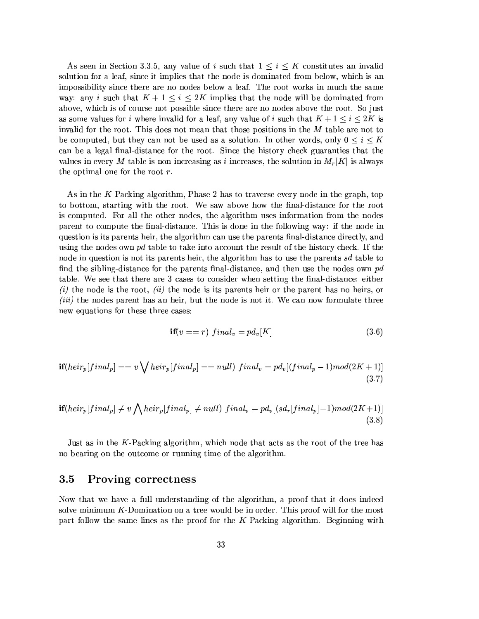As seen in Section 3.3.5, any value of i such that  $1 \leq i \leq K$  constitutes an invalid solution for a leaf, since it implies that the node is dominated from below, which is an impossibility since there are no nodes below a leaf. The root works in much the same way: any i such that  $K + 1 \leq i \leq 2K$  implies that the node will be dominated from above, which is of course not possible since there are no nodes above the root. So just as some values for i where invalid for a leaf, any value of i such that  $K + 1 \leq i \leq 2K$  is invalid for the root. This does not mean that those positions in the M table are not to be computed, but they can not be used as a solution. In other words, only  $0 \leq i \leq K$ can be a legal final-distance for the root. Since the history check guaranties that the values in every M table is non-increasing as i increases, the solution in  $M_r[K]$  is always the optimal one for the root  $r$ .

As in the K-Packing algorithm, Phase 2 has to traverse every node in the graph, top to bottom, starting with the root. We saw above how the final-distance for the root is computed. For all the other nodes, the algorithm uses information from the nodes parent to compute the final-distance. This is done in the following way: if the node in question is its parents heir, the algorithm can use the parents final-distance directly, and using the nodes own pd table to take into account the result of the history check. If the node in question is not its parents heir, the algorithm has to use the parents sd table to find the sibling-distance for the parents final-distance, and then use the nodes own  $pd$ table. We see that there are 3 cases to consider when setting the final-distance: either (*i*) the node is the root, (*ii*) the node is its parents heir or the parent has no heirs, or *(iii)* the nodes parent has an heir, but the node is not it. We can now formulate three new equations for these three cases:

$$
\mathbf{if}(v == r) \ final_v = pd_v[K] \tag{3.6}
$$

$$
\mathbf{if}(heir_p[final_p] == v \bigvee heir_p[final_p] == null) \ final_v = pd_v[(final_p - 1)mod(2K + 1)] \tag{3.7}
$$

$$
\mathbf{if}(heir_p[final_p] \neq v \bigwedge heir_p[final_p] \neq null) \ final_v = pd_v[(sd_r[final_p] - 1)mod(2K+1)] \tag{3.8}
$$

Just as in the K-Packing algorithm, which node that acts as the root of the tree has no bearing on the outcome or running time of the algorithm.

#### 3.5 Proving correctness

Now that we have a full understanding of the algorithm, a proof that it does indeed solve minimum  $K$ -Domination on a tree would be in order. This proof will for the most part follow the same lines as the proof for the  $K$ -Packing algorithm. Beginning with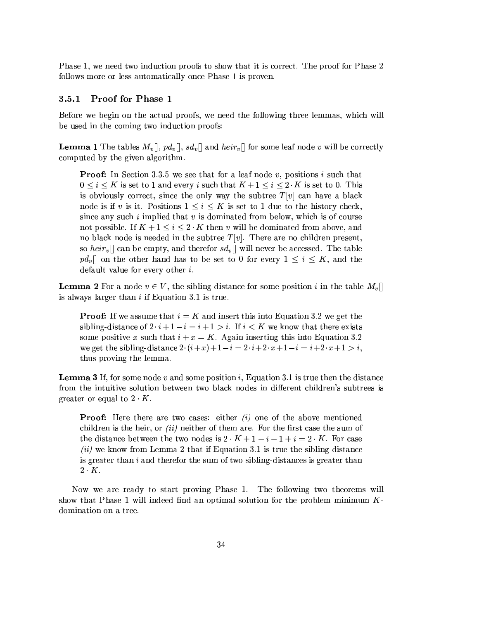Phase 1, we need two induction proofs to show that it is correct. The proof for Phase 2 follows more or less automatically once Phase 1 is proven.

#### $3.5.1$ **Proof for Phase 1**

Before we begin on the actual proofs, we need the following three lemmas, which will be used in the coming two induction proofs:

**Lemma 1** The tables  $M_v[]$ ,  $pd_v[]$ ,  $sd_v[]$  and  $heir_v[]$  for some leaf node v will be correctly computed by the given algorithm.

**Proof:** In Section 3.3.5 we see that for a leaf node v, positions i such that  $0 \leq i \leq K$  is set to 1 and every i such that  $K+1 \leq i \leq 2 \cdot K$  is set to 0. This is obviously correct, since the only way the subtree  $T[v]$  can have a black node is if v is it. Positions  $1 \leq i \leq K$  is set to 1 due to the history check, since any such  $i$  implied that  $v$  is dominated from below, which is of course not possible. If  $K + 1 \leq i \leq 2 \cdot K$  then v will be dominated from above, and no black node is needed in the subtree  $T[v]$ . There are no children present, so heir<sub>v</sub>[] can be empty, and therefor  $sd_v$ [] will never be accessed. The table  $p d_v$  on the other hand has to be set to 0 for every  $1 \leq i \leq K$ , and the default value for every other  $i$ .

**Lemma 2** For a node  $v \in V$ , the sibling-distance for some position i in the table  $M_v$ is always larger than  $i$  if Equation 3.1 is true.

**Proof:** If we assume that  $i = K$  and insert this into Equation 3.2 we get the sibling-distance of  $2 \cdot i + 1 - i = i + 1 > i$ . If  $i < K$  we know that there exists some positive x such that  $i + x = K$ . Again inserting this into Equation 3.2 we get the sibling-distance  $2 \cdot (i+x)+1-i = 2 \cdot i+2 \cdot x+1-i = i+2 \cdot x+1 > i$ , thus proving the lemma.

**Lemma 3** If, for some node v and some position i, Equation 3.1 is true then the distance from the intuitive solution between two black nodes in different children's subtrees is greater or equal to  $2 \cdot K$ .

**Proof:** Here there are two cases: either  $(i)$  one of the above mentioned children is the heir, or *(ii)* neither of them are. For the first case the sum of the distance between the two nodes is  $2 \cdot K + 1 - i - 1 + i = 2 \cdot K$ . For case (ii) we know from Lemma 2 that if Equation 3.1 is true the sibling-distance is greater than  $i$  and therefor the sum of two sibling-distances is greater than  $2 \cdot K$ .

Now we are ready to start proving Phase 1. The following two theorems will show that Phase 1 will indeed find an optimal solution for the problem minimum  $K$ domination on a tree.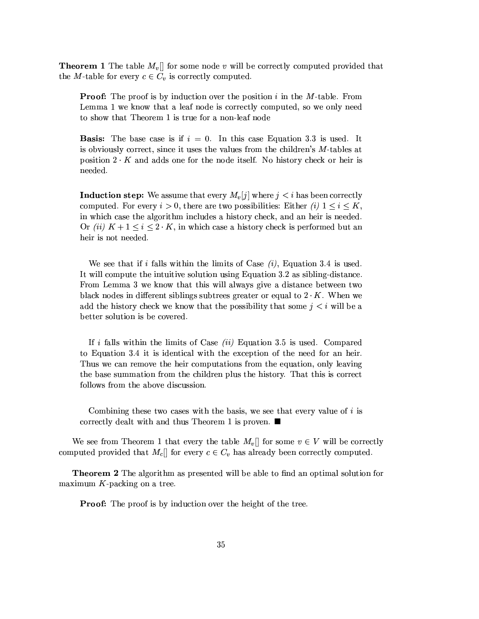**Theorem 1** The table  $M_v$  for some node v will be correctly computed provided that the *M*-table for every  $c \in C_v$  is correctly computed.

**Proof:** The proof is by induction over the position i in the M-table. From Lemma 1 we know that a leaf node is correctly computed, so we only need to show that Theorem 1 is true for a non-leaf node

**Basis:** The base case is if  $i = 0$ . In this case Equation 3.3 is used. It is obviously correct, since it uses the values from the children's M-tables at position  $2 \cdot K$  and adds one for the node itself. No history check or heir is needed.

**Induction step:** We assume that every  $M_v[j]$  where  $j < i$  has been correctly computed. For every  $i > 0$ , there are two possibilities: Either (i)  $1 \leq i \leq K$ , in which case the algorithm includes a history check, and an heir is needed. Or (ii)  $K + 1 \leq i \leq 2 \cdot K$ , in which case a history check is performed but an heir is not needed.

We see that if i falls within the limits of Case  $(i)$ , Equation 3.4 is used. It will compute the intuitive solution using Equation 3.2 as sibling-distance. From Lemma 3 we know that this will always give a distance between two black nodes in different siblings subtrees greater or equal to  $2 \cdot K$ . When we add the history check we know that the possibility that some  $j < i$  will be a better solution is be covered.

If i falls within the limits of Case (ii) Equation 3.5 is used. Compared to Equation 3.4 it is identical with the exception of the need for an heir. Thus we can remove the heir computations from the equation, only leaving the base summation from the children plus the history. That this is correct follows from the above discussion.

Combining these two cases with the basis, we see that every value of i is correctly dealt with and thus Theorem 1 is proven.  $\blacksquare$ 

We see from Theorem 1 that every the table  $M_v$  for some  $v \in V$  will be correctly computed provided that  $M_c$  for every  $c \in C_v$  has already been correctly computed.

**Theorem 2** The algorithm as presented will be able to find an optimal solution for maximum  $K$ -packing on a tree.

**Proof:** The proof is by induction over the height of the tree.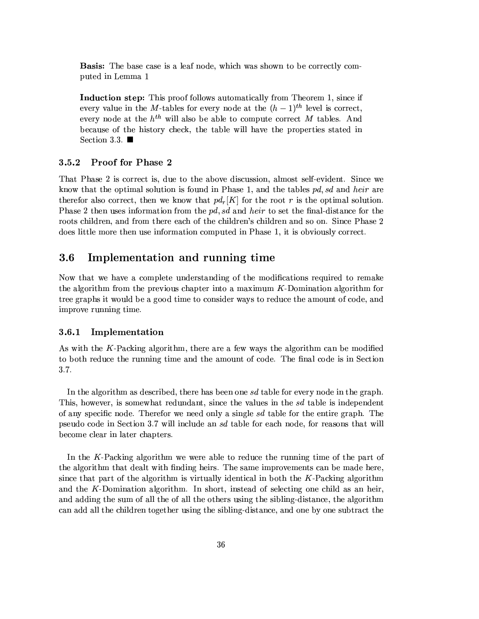**Basis:** The base case is a leaf node, which was shown to be correctly computed in Lemma 1

**Induction step:** This proof follows automatically from Theorem 1, since if every value in the M-tables for every node at the  $(h-1)$ <sup>th</sup> level is correct. every node at the  $h^{th}$  will also be able to compute correct M tables. And because of the history check, the table will have the properties stated in Section 3.3.  $\blacksquare$ 

#### 3.5.2 **Proof for Phase 2**

That Phase 2 is correct is, due to the above discussion, almost self-evident. Since we know that the optimal solution is found in Phase 1, and the tables pd, sd and heir are therefor also correct, then we know that  $pd_r[K]$  for the root r is the optimal solution. Phase 2 then uses information from the  $pd$ , sd and heir to set the final-distance for the roots children, and from there each of the children's children and so on. Since Phase 2 does little more then use information computed in Phase 1, it is obviously correct.

#### $3.6$ Implementation and running time

Now that we have a complete understanding of the modifications required to remake the algorithm from the previous chapter into a maximum K-Domination algorithm for tree graphs it would be a good time to consider ways to reduce the amount of code, and improve running time.

#### Implementation 3.6.1

As with the K-Packing algorithm, there are a few ways the algorithm can be modified to both reduce the running time and the amount of code. The final code is in Section 3.7.

In the algorithm as described, there has been one  $sd$  table for every node in the graph. This, however, is somewhat redundant, since the values in the sd table is independent of any specific node. Therefor we need only a single sd table for the entire graph. The pseudo code in Section 3.7 will include an *sd* table for each node, for reasons that will become clear in later chapters.

In the K-Packing algorithm we were able to reduce the running time of the part of the algorithm that dealt with finding heirs. The same improvements can be made here. since that part of the algorithm is virtually identical in both the  $K$ -Packing algorithm and the K-Domination algorithm. In short, instead of selecting one child as an heir, and adding the sum of all the of all the others using the sibling-distance, the algorithm can add all the children together using the sibling-distance, and one by one subtract the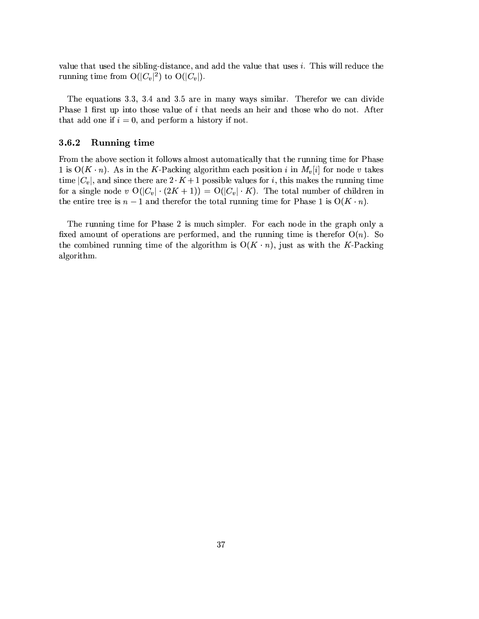value that used the sibling-distance, and add the value that uses i. This will reduce the running time from  $O(|C_v|^2)$  to  $O(|C_v|)$ .

The equations 3.3, 3.4 and 3.5 are in many ways similar. Therefor we can divide Phase 1 first up into those value of i that needs an heir and those who do not. After that add one if  $i = 0$ , and perform a history if not.

#### 3.6.2 Running time

From the above section it follows almost automatically that the running time for Phase 1 is  $O(K \cdot n)$ . As in the K-Packing algorithm each position i in  $M_v[i]$  for node v takes time  $|C_v|$ , and since there are  $2 \cdot K + 1$  possible values for *i*, this makes the running time for a single node v  $O(|C_v| \cdot (2K+1)) = O(|C_v| \cdot K)$ . The total number of children in the entire tree is  $n-1$  and therefor the total running time for Phase 1 is  $O(K \cdot n)$ .

The running time for Phase 2 is much simpler. For each node in the graph only a fixed amount of operations are performed, and the running time is therefor  $O(n)$ . So the combined running time of the algorithm is  $O(K \cdot n)$ , just as with the K-Packing algorithm.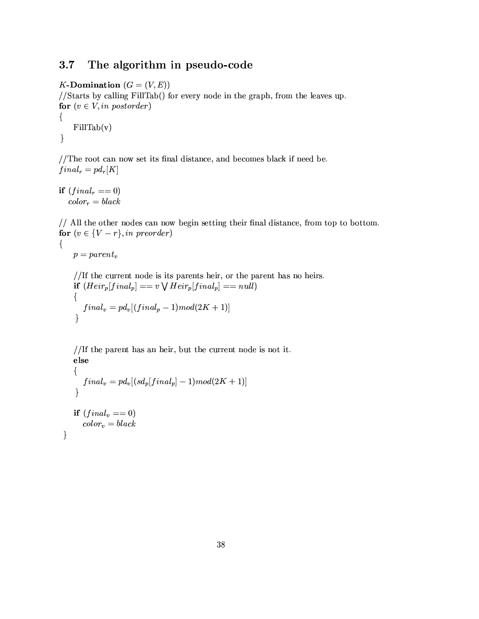#### The algorithm in pseudo-code  $3.7$

K-Domination  $(G = (V, E))$ 

//Starts by calling FillTab() for every node in the graph, from the leaves up. for  $(v \in V, in\ postorder)$ 

 $\{$  $FillTab(v)$  $\}$ 

//The root can now set its final distance, and becomes black if need be.  $final_r = pd_r[K]$ 

if  $(final_r == 0)$  $color_r = black$ 

// All the other nodes can now begin setting their final distance, from top to bottom. for  $(v \in \{V - r\}, in \ preorder)$ 

```
p = parent_v
```
 $\{$ 

}

//If the current node is its parents heir, or the parent has no heirs. if  $(Heir_p[final_p] == v \vee Heir_p[final_p] == null)$  $\{$  $final_v=pd_v[(final_p-1)mod(2K+1)]$  $\}$ 

//If the parent has an heir, but the current node is not it. else

```
\{final_v = pd_v[(sd_p[final_p] - 1)mod(2K + 1)]\mathcal{E}if (final_v == 0)color_v = black
```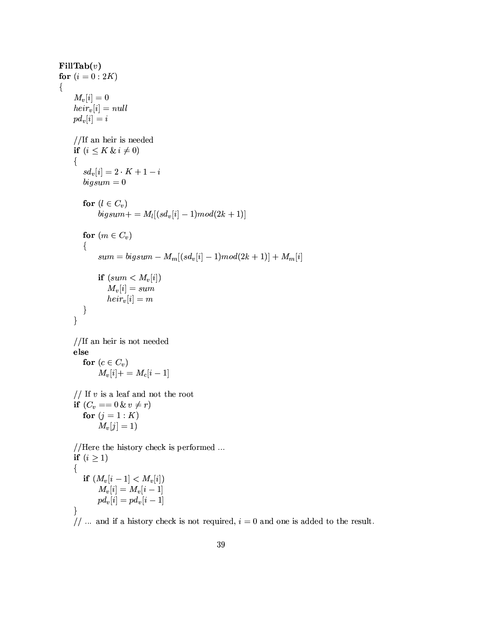$\textbf{FillTab}(v)$ for  $(i = 0:2K)$  $M_v[i]=0$  $heir_v[i] = null$  $pd_v[i] = i$ //If an heir is needed if  $(i \leq K \& i \neq 0)$  $\{$  $sd_v[i] = 2 \cdot K + 1 - i$  $bigsum = 0$ for  $(l \in C_v)$  $bigsum + m = M_l[(sd_v[i] - 1)mod(2k + 1)]$ for  $(m \in C_v)$  $\{$  $sum = bigsum - M_m[(sd_v[i] - 1)mod(2k + 1)] + M_m[i]$ if  $(sum < M_v[i])$  $M_v[i] = sum$  $heir_v[i] = m$  $\}$  $\}$  $//$ If an heir is not needed else for  $(c \in C_v)$  $M_v[i] + = M_c[i-1]$ // If  $v$  is a leaf and not the root if  $(C_v == 0 \& v \neq r)$ for  $(j = 1 : K)$  $M_v[j] = 1$ //Here the history check is performed ... if  $(i \geq 1)$  $\left\{ \right.$ if  $(M_v[i-1] < M_v[i])$  $M_{v}[i] = M_{v}[i - 1]$  $p d_v[i] = p d_v[i-1]$  $\}$ // ... and if a history check is not required,  $i = 0$  and one is added to the result.

 $\{$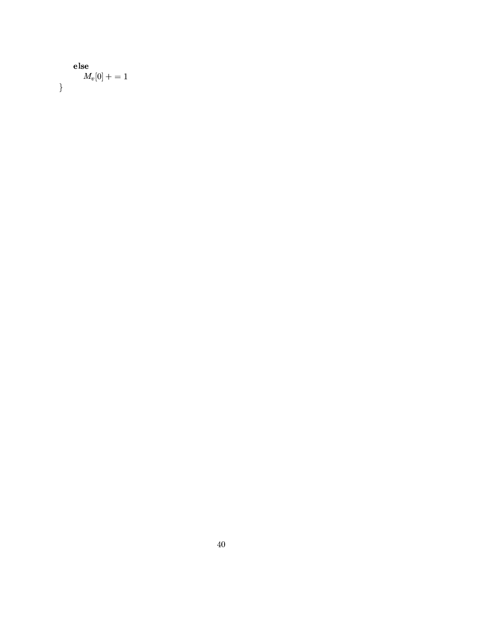```
else
     M_v[0] + = 1\}
```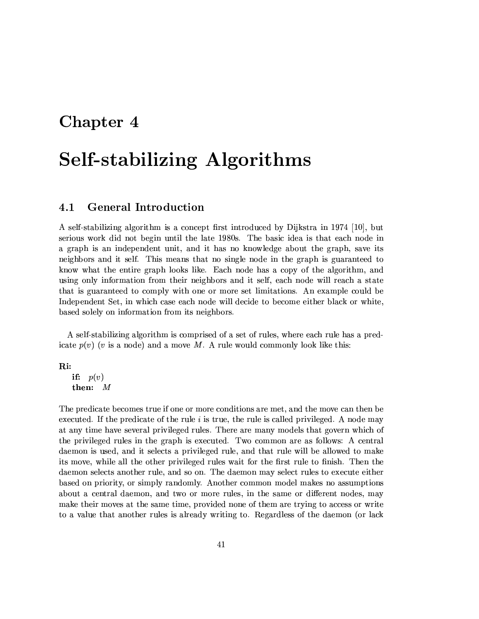### Chapter 4

## **Self-stabilizing Algorithms**

#### **General Introduction**  $4.1$

A self-stabilizing algorithm is a concept first introduced by Dijkstra in 1974 [10], but serious work did not begin until the late 1980s. The basic idea is that each node in a graph is an independent unit, and it has no knowledge about the graph, save its neighbors and it self. This means that no single node in the graph is guaranteed to know what the entire graph looks like. Each node has a copy of the algorithm, and using only information from their neighbors and it self, each node will reach a state that is guaranteed to comply with one or more set limitations. An example could be Independent Set, in which case each node will decide to become either black or white. based solely on information from its neighbors.

A self-stabilizing algorithm is comprised of a set of rules, where each rule has a predicate  $p(v)$  (v is a node) and a move M. A rule would commonly look like this:

Ri:

if:  $p(v)$ then:  $M$ 

The predicate becomes true if one or more conditions are met, and the move can then be executed. If the predicate of the rule  $i$  is true, the rule is called privileged. A node may at any time have several privileged rules. There are many models that govern which of the privileged rules in the graph is executed. Two common are as follows: A central daemon is used, and it selects a privileged rule, and that rule will be allowed to make its move, while all the other privileged rules wait for the first rule to finish. Then the daemon selects another rule, and so on. The daemon may select rules to execute either based on priority, or simply randomly. Another common model makes no assumptions about a central daemon, and two or more rules, in the same or different nodes, may make their moves at the same time, provided none of them are trying to access or write to a value that another rules is already writing to. Regardless of the daemon (or lack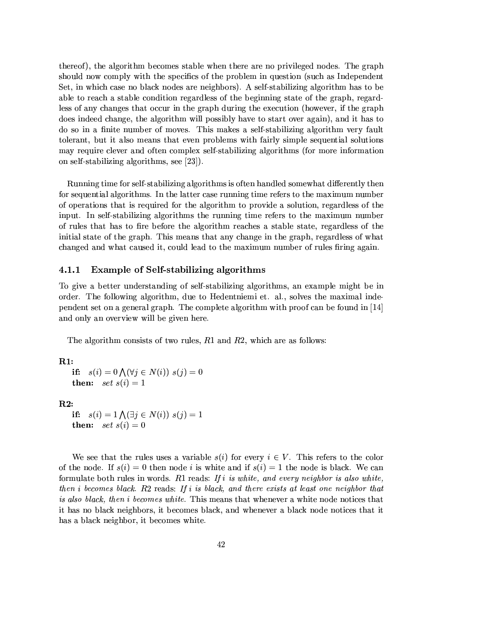thereof), the algorithm becomes stable when there are no privileged nodes. The graph should now comply with the specifics of the problem in question (such as Independent Set, in which case no black nodes are neighbors). A self-stabilizing algorithm has to be able to reach a stable condition regardless of the beginning state of the graph, regardless of any changes that occur in the graph during the execution (however, if the graph does indeed change, the algorithm will possibly have to start over again), and it has to do so in a finite number of moves. This makes a self-stabilizing algorithm very fault tolerant, but it also means that even problems with fairly simple sequential solutions may require clever and often complex self-stabilizing algorithms (for more information on self-stabilizing algorithms, see  $[23]$ .

Running time for self-stabilizing algorithms is often handled somewhat differently then for sequential algorithms. In the latter case running time refers to the maximum number of operations that is required for the algorithm to provide a solution, regardless of the input. In self-stabilizing algorithms the running time refers to the maximum number of rules that has to fire before the algorithm reaches a stable state, regardless of the initial state of the graph. This means that any change in the graph, regardless of what changed and what caused it, could lead to the maximum number of rules firing again.

#### Example of Self-stabilizing algorithms  $4.1.1$

To give a better understanding of self-stabilizing algorithms, an example might be in order. The following algorithm, due to Hedentniemi et. al., solves the maximal independent set on a general graph. The complete algorithm with proof can be found in [14] and only an overview will be given here.

The algorithm consists of two rules,  $R1$  and  $R2$ , which are as follows:

 $R1:$ 

```
s(i) = 0 \bigwedge (\forall j \in N(i)) \; s(j) = 0if:
then: set s(i) = 1
```
 $R2:$ 

```
if: s(i) = 1 \bigwedge (\exists j \in N(i)) \; s(j) = 1then: set~s(i) = 0
```
We see that the rules uses a variable  $s(i)$  for every  $i \in V$ . This refers to the color of the node. If  $s(i) = 0$  then node i is white and if  $s(i) = 1$  the node is black. We can formulate both rules in words.  $R1$  reads: If i is white, and every neighbor is also white, then i becomes black.  $R2$  reads: If i is black, and there exists at least one neighbor that is also black, then i becomes white. This means that whenever a white node notices that it has no black neighbors, it becomes black, and whenever a black node notices that it has a black neighbor, it becomes white.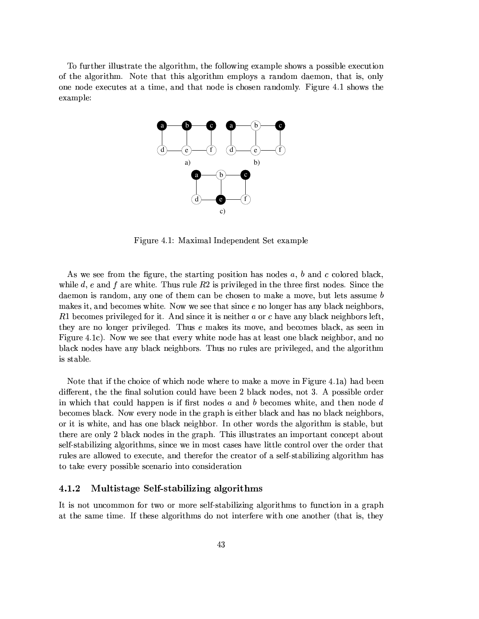To further illustrate the algorithm, the following example shows a possible execution of the algorithm. Note that this algorithm employs a random daemon, that is, only one node executes at a time, and that node is chosen randomly. Figure 4.1 shows the example:



Figure 4.1: Maximal Independent Set example

As we see from the figure, the starting position has nodes  $a, b$  and c colored black, while d, e and f are white. Thus rule  $R2$  is privileged in the three first nodes. Since the daemon is random, any one of them can be chosen to make a move, but lets assume  $b$ makes it, and becomes white. Now we see that since e no longer has any black neighbors, R1 becomes privileged for it. And since it is neither a or c have any black neighbors left, they are no longer privileged. Thus e makes its move, and becomes black, as seen in Figure 4.1c). Now we see that every white node has at least one black neighbor, and no black nodes have any black neighbors. Thus no rules are privileged, and the algorithm is stable.

Note that if the choice of which node where to make a move in Figure 4.1a) had been different, the the final solution could have been 2 black nodes, not 3. A possible order in which that could happen is if first nodes a and b becomes white, and then node  $d$ becomes black. Now every node in the graph is either black and has no black neighbors, or it is white, and has one black neighbor. In other words the algorithm is stable, but there are only 2 black nodes in the graph. This illustrates an important concept about self-stabilizing algorithms, since we in most cases have little control over the order that rules are allowed to execute, and therefor the creator of a self-stabilizing algorithm has to take every possible scenario into consideration

#### 4.1.2 Multistage Self-stabilizing algorithms

It is not uncommon for two or more self-stabilizing algorithms to function in a graph at the same time. If these algorithms do not interfere with one another (that is, they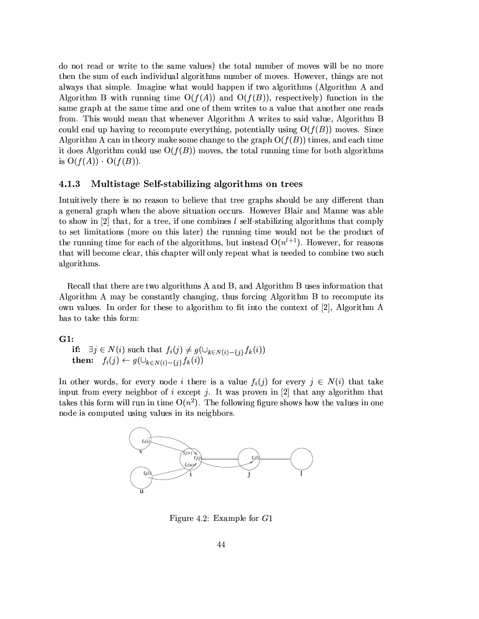do not read or write to the same values) the total number of moves will be no more then the sum of each individual algorithms number of moves. However, things are not always that simple. Imagine what would happen if two algorithms (Algorithm A and Algorithm B with running time  $O(f(A))$  and  $O(f(B))$ , respectively) function in the same graph at the same time and one of them writes to a value that another one reads from. This would mean that whenever Algorithm A writes to said value, Algorithm B could end up having to recompute everything, potentially using  $O(f(B))$  moves. Since Algorithm A can in theory make some change to the graph  $O(f(B))$  times, and each time it does Algorithm could use  $O(f(B))$  moves, the total running time for both algorithms is  $O(f(A)) \cdot O(f(B)).$ 

#### 4.1.3 Multistage Self-stabilizing algorithms on trees

Intuitively there is no reason to believe that tree graphs should be any different than a general graph when the above situation occurs. However Blair and Manne was able to show in [2] that, for a tree, if one combines  $l$  self-stabilizing algorithms that comply to set limitations (more on this later) the running time would not be the product of the running time for each of the algorithms, but instead  $O(n^{l+1})$ . However, for reasons that will become clear, this chapter will only repeat what is needed to combine two such algorithms.

Recall that there are two algorithms A and B, and Algorithm B uses information that Algorithm A may be constantly changing, thus forcing Algorithm B to recompute its own values. In order for these to algorithm to fit into the context of  $[2]$ , Algorithm A has to take this form:

 $G1:$ 

if:  $\exists j \in N(i)$  such that  $f_i(j) \neq g(\bigcup_{k \in N(i) - \{j\}} f_k(i))$ <br>then:  $f_i(j) \leftarrow g(\bigcup_{k \in N(i) - \{j\}} f_k(i))$ 

In other words, for every node i there is a value  $f_i(j)$  for every  $j \in N(i)$  that take input from every neighbor of i except j. It was proven in [2] that any algorithm that takes this form will run in time  $O(n^2)$ . The following figure shows how the values in one node is computed using values in its neighbors.



Figure 4.2: Example for  $G1$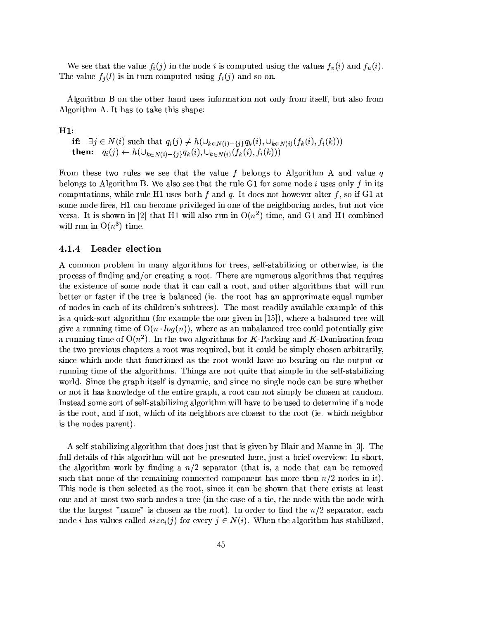We see that the value  $f_i(j)$  in the node *i* is computed using the values  $f_v(i)$  and  $f_u(i)$ . The value  $f_j(l)$  is in turn computed using  $f_i(j)$  and so on.

Algorithm B on the other hand uses information not only from itself, but also from Algorithm A. It has to take this shape:

#### $H1:$

if:  $\exists j \in N(i)$  such that  $q_i(j) \neq h(\cup_{k \in N(i) - \{j\}} q_k(i), \cup_{k \in N(i)} (f_k(i), f_i(k)))$ then:  $q_i(j) \leftarrow h(\cup_{k \in N(i)-\{j\}} q_k(i), \cup_{k \in N(i)} (\widetilde{f}_k(i), f_i(k)))$ 

From these two rules we see that the value f belongs to Algorithm A and value q belongs to Algorithm B. We also see that the rule G1 for some node i uses only f in its computations, while rule H1 uses both f and q. It does not however alter f, so if G1 at some node fires, H1 can become privileged in one of the neighboring nodes, but not vice versa. It is shown in [2] that H1 will also run in  $O(n^2)$  time, and G1 and H1 combined will run in  $O(n^3)$  time.

#### 4.1.4 Leader election

A common problem in many algorithms for trees, self-stabilizing or otherwise, is the process of finding and/or creating a root. There are numerous algorithms that requires the existence of some node that it can call a root, and other algorithms that will run better or faster if the tree is balanced (ie. the root has an approximate equal number of nodes in each of its children's subtrees). The most readily available example of this is a quick-sort algorithm (for example the one given in [15]), where a balanced tree will give a running time of  $O(n \cdot log(n))$ , where as an unbalanced tree could potentially give a running time of  $O(n^2)$ . In the two algorithms for K-Packing and K-Domination from the two previous chapters a root was required, but it could be simply chosen arbitrarily, since which node that functioned as the root would have no bearing on the output or running time of the algorithms. Things are not quite that simple in the self-stabilizing world. Since the graph itself is dynamic, and since no single node can be sure whether or not it has knowledge of the entire graph, a root can not simply be chosen at random. Instead some sort of self-stabilizing algorithm will have to be used to determine if a node is the root, and if not, which of its neighbors are closest to the root (ie. which neighbor is the nodes parent).

A self-stabilizing algorithm that does just that is given by Blair and Manne in [3]. The full details of this algorithm will not be presented here, just a brief overview: In short, the algorithm work by finding a  $n/2$  separator (that is, a node that can be removed such that none of the remaining connected component has more then  $n/2$  nodes in it). This node is then selected as the root, since it can be shown that there exists at least one and at most two such nodes a tree (in the case of a tie, the node with the node with the the largest "name" is chosen as the root). In order to find the  $n/2$  separator, each node *i* has values called  $size_i(j)$  for every  $j \in N(i)$ . When the algorithm has stabilized,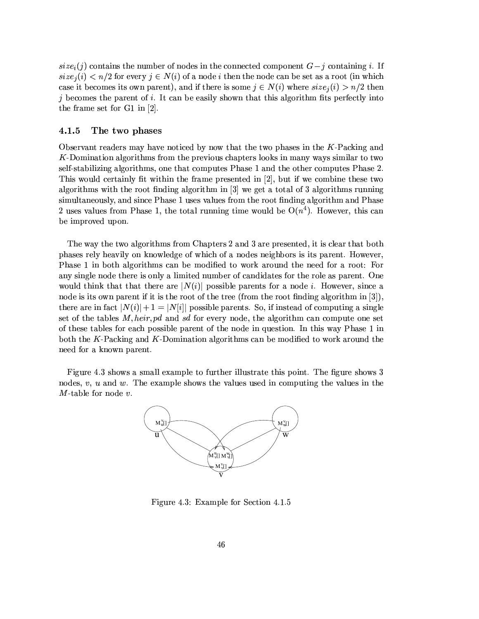$size_i(j)$  contains the number of nodes in the connected component  $G-j$  containing i. If  $size_i(i) < n/2$  for every  $j \in N(i)$  of a node i then the node can be set as a root (in which case it becomes its own parent), and if there is some  $j \in N(i)$  where  $size_i(i) > n/2$  then  $i$  becomes the parent of i. It can be easily shown that this algorithm fits perfectly into the frame set for  $G1$  in [2].

#### $4.1.5$ The two phases

Observant readers may have noticed by now that the two phases in the K-Packing and K-Domination algorithms from the previous chapters looks in many ways similar to two self-stabilizing algorithms, one that computes Phase 1 and the other computes Phase 2. This would certainly fit within the frame presented in [2], but if we combine these two algorithms with the root finding algorithm in [3] we get a total of 3 algorithms running simultaneously, and since Phase 1 uses values from the root finding algorithm and Phase 2 uses values from Phase 1, the total running time would be  $O(n^4)$ . However, this can be improved upon.

The way the two algorithms from Chapters 2 and 3 are presented, it is clear that both phases rely heavily on knowledge of which of a nodes neighbors is its parent. However, Phase 1 in both algorithms can be modified to work around the need for a root: For any single node there is only a limited number of candidates for the role as parent. One would think that that there are  $|N(i)|$  possible parents for a node i. However, since a node is its own parent if it is the root of the tree (from the root finding algorithm in  $[3]$ ), there are in fact  $|N(i)|+1=|N[i]|$  possible parents. So, if instead of computing a single set of the tables  $M$ , heir, pd and sd for every node, the algorithm can compute one set of these tables for each possible parent of the node in question. In this way Phase 1 in both the K-Packing and K-Domination algorithms can be modified to work around the need for a known parent.

Figure 4.3 shows a small example to further illustrate this point. The figure shows 3 nodes,  $v, u$  and  $w$ . The example shows the values used in computing the values in the  $M$ -table for node  $v$ .



Figure 4.3: Example for Section 4.1.5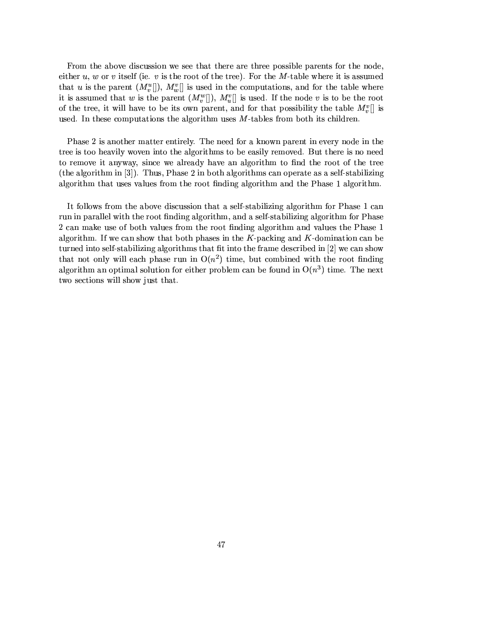From the above discussion we see that there are three possible parents for the node, either  $u, w$  or  $v$  itself (ie.  $v$  is the root of the tree). For the  $M$ -table where it is assumed that u is the parent  $(M_v^u])$ ,  $M_w^v$ ] is used in the computations, and for the table where it is assumed that w is the parent  $(M_v^w[]), M_u^v[]$  is used. If the node v is to be the root of the tree, it will have to be its own parent, and for that possibility the table  $M_v^v$ . is used. In these computations the algorithm uses  $M$ -tables from both its children.

Phase 2 is another matter entirely. The need for a known parent in every node in the tree is too heavily woven into the algorithms to be easily removed. But there is no need to remove it anyway, since we already have an algorithm to find the root of the tree (the algorithm in [3]). Thus, Phase 2 in both algorithms can operate as a self-stabilizing algorithm that uses values from the root finding algorithm and the Phase 1 algorithm.

It follows from the above discussion that a self-stabilizing algorithm for Phase 1 can run in parallel with the root finding algorithm, and a self-stabilizing algorithm for Phase 2 can make use of both values from the root finding algorithm and values the Phase 1 algorithm. If we can show that both phases in the  $K$ -packing and  $K$ -domination can be turned into self-stabilizing algorithms that fit into the frame described in [2] we can show that not only will each phase run in  $O(n^2)$  time, but combined with the root finding algorithm an optimal solution for either problem can be found in  $O(n^3)$  time. The next two sections will show just that.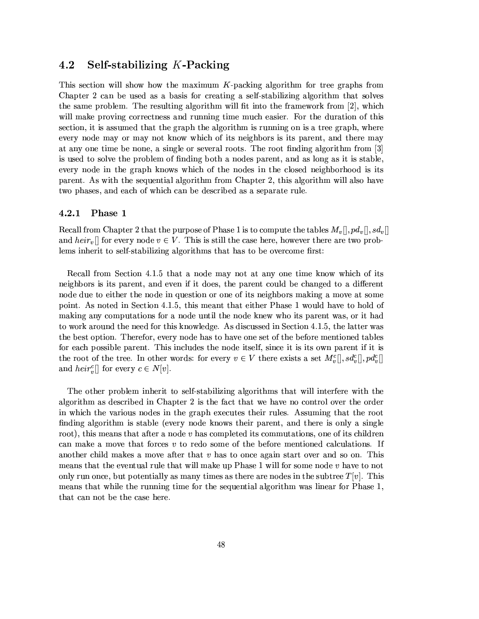#### 4.2 Self-stabilizing K-Packing

This section will show how the maximum  $K$ -packing algorithm for tree graphs from Chapter 2 can be used as a basis for creating a self-stabilizing algorithm that solves the same problem. The resulting algorithm will fit into the framework from  $[2]$ , which will make proving correctness and running time much easier. For the duration of this section, it is assumed that the graph the algorithm is running on is a tree graph, where every node may or may not know which of its neighbors is its parent, and there may at any one time be none, a single or several roots. The root finding algorithm from [3] is used to solve the problem of finding both a nodes parent, and as long as it is stable, every node in the graph knows which of the nodes in the closed neighborhood is its parent. As with the sequential algorithm from Chapter 2, this algorithm will also have two phases, and each of which can be described as a separate rule.

#### $4.2.1$ Phase 1

Recall from Chapter 2 that the purpose of Phase 1 is to compute the tables  $M_v[[, pd_v[[, sd_v]]$ and heir<sub>v</sub>[] for every node  $v \in V$ . This is still the case here, however there are two problems inherit to self-stabilizing algorithms that has to be overcome first:

Recall from Section 4.1.5 that a node may not at any one time know which of its neighbors is its parent, and even if it does, the parent could be changed to a different node due to either the node in question or one of its neighbors making a move at some point. As noted in Section 4.1.5, this meant that either Phase 1 would have to hold of making any computations for a node until the node knew who its parent was, or it had to work around the need for this knowledge. As discussed in Section 4.1.5, the latter was the best option. Therefor, every node has to have one set of the before mentioned tables for each possible parent. This includes the node itself, since it is its own parent if it is the root of the tree. In other words: for every  $v \in V$  there exists a set  $M_v^c[], sd_v^c[], pd_v^c[]$ and  $heir_v^c[]$  for every  $c \in N[v]$ .

The other problem inherit to self-stabilizing algorithms that will interfere with the algorithm as described in Chapter 2 is the fact that we have no control over the order in which the various nodes in the graph executes their rules. Assuming that the root finding algorithm is stable (every node knows their parent, and there is only a single root), this means that after a node  $v$  has completed its commutations, one of its children can make a move that forces  $v$  to redo some of the before mentioned calculations. If another child makes a move after that  $v$  has to once again start over and so on. This means that the eventual rule that will make up Phase 1 will for some node  $v$  have to not only run once, but potentially as many times as there are nodes in the subtree  $T[v]$ . This means that while the running time for the sequential algorithm was linear for Phase 1. that can not be the case here.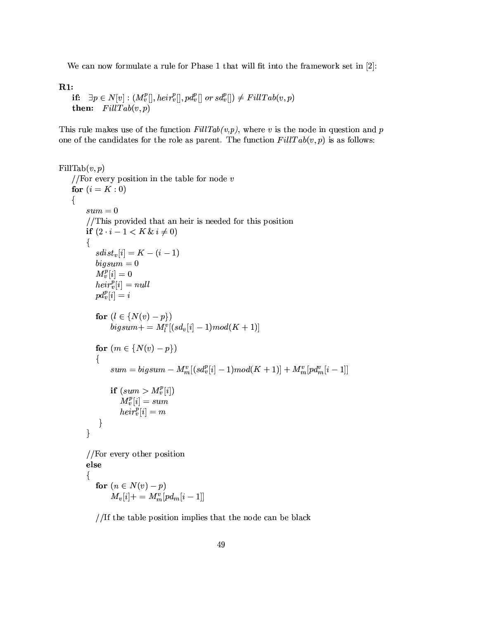We can now formulate a rule for Phase 1 that will fit into the framework set in  $[2]$ :

 $R1:$ 

```
if: \exists p \in N[v] : (M_v^p[], heir_v^p[], pd_v^p[] or sd_v^p[]) \neq FillTab(v, p)then: FillTab(v, p)
```
This rule makes use of the function  $FillTab(v,p)$ , where v is the node in question and p one of the candidates for the role as parent. The function  $FillTab(v, p)$  is as follows:

```
FillTab(v, p)//For every position in the table for node vfor (i = K : 0)\{sum = 0//This provided that an heir is needed for this position
         if (2 \cdot i - 1 < K \& i \neq 0)\{sdist_v[i] = K - (i - 1)bigsum=0M_{v}^{p}[i] = 0heir_v^p[i] = nullpd_v^p[i] = ifor (l \in \{N(v) - p\})bigsum + \frac{1}{n} \left[ (sd_v[i] - 1) \right] \mod (K+1)for (m \in \{N(v) - p\})\{sum = bigsum - M_m^v[(sd_v^p[i]-1)mod(K + 1)] + M_m^v[pd_m^v[i-1]]\begin{array}{c} \textbf{if} \ (sum > M_v^p[i])\ M_v^p[i] = sum\\ height_v^p[i] = nm \end{array}\big\}\}//For every other position
         else
         {
            for (n \in N(v) - p)
```
 $M_v[i] + = M_m^{v'}[pd_m[i-1]]$ 

//If the table position implies that the node can be black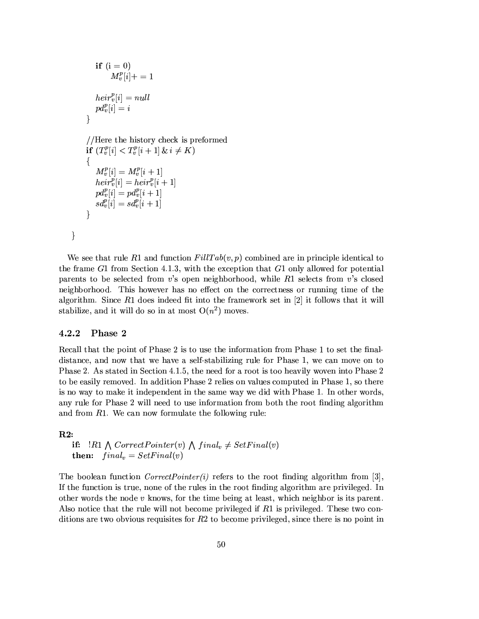```
if (i = 0)M_v^p[i]+=1heir_v^p[i] = nullpd_v^p[i] = i\overline{\mathcal{C}}//Here the history check is preformed
if (T_v^p[i] < T_v^p[i+1] \& i \neq K)\{M_v^p[i] = M_v^p[i+1]heir_v^p[i] = heir_v^p[i+1]p d_v^p[i] = p d_v^p[i+1]sd_v^p[i] = sd_v^p[i+1]\mathcal{E}
```
We see that rule R1 and function  $FillTab(v, p)$  combined are in principle identical to the frame  $G1$  from Section 4.1.3, with the exception that  $G1$  only allowed for potential parents to be selected from  $v$ 's open neighborhood, while  $R1$  selects from  $v$ 's closed neighborhood. This however has no effect on the correctness or running time of the algorithm. Since  $R1$  does indeed fit into the framework set in [2] it follows that it will stabilize, and it will do so in at most  $O(n^2)$  moves.

#### $4.2.2$ Phase 2

 $\}$ 

Recall that the point of Phase 2 is to use the information from Phase 1 to set the finaldistance, and now that we have a self-stabilizing rule for Phase 1, we can move on to Phase 2. As stated in Section 4.1.5, the need for a root is too heavily woven into Phase 2 to be easily removed. In addition Phase 2 relies on values computed in Phase 1, so there is no way to make it independent in the same way we did with Phase 1. In other words, any rule for Phase 2 will need to use information from both the root finding algorithm and from  $R1$ . We can now formulate the following rule:

#### $R2:$

```
if: \exists R1 \land CorrectPointer(v) \land final_v \neq SetFinal(v)then: final_v = SetFinal(v)
```
The boolean function *CorrectPointer(i)* refers to the root finding algorithm from [3], If the function is true, none of the rules in the root finding algorithm are privileged. In other words the node  $v$  knows, for the time being at least, which neighbor is its parent. Also notice that the rule will not become privileged if  $R1$  is privileged. These two conditions are two obvious requisites for  $R<sup>2</sup>$  to become privileged, since there is no point in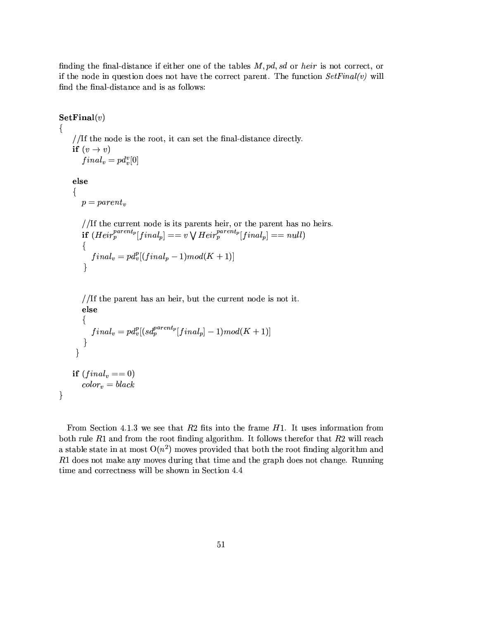finding the final-distance if either one of the tables  $M, pd, sd$  or heir is not correct, or if the node in question does not have the correct parent. The function  $SetFinal(v)$  will find the final-distance and is as follows:

 $\textbf{SetFinal}(v)$  $\{$ //If the node is the root, it can set the final-distance directly. if  $(v \rightarrow v)$  $final_v = pd_v^v[0]$ else ₹  $p = parent_v$ //If the current node is its parents heir, or the parent has no heirs. if  $(Heir_p^{parent_p}[final_p] == v \vee Heir_p^{parent_p}[final_p] == null)$  $\{$  $final_v = pd_v^p[(final_p - 1)mod(K + 1)]$  $\mathcal{E}$ //If the parent has an heir, but the current node is not it. else  $\{$  $final_v = pd_v^p[(sd_p^{parent_p}[final_p]-1)mod(K+1)]$  $\}$  $\mathcal{F}$ if  $(final_v == 0)$  $color_v = black$  $\}$ 

From Section 4.1.3 we see that  $R2$  fits into the frame  $H1$ . It uses information from both rule  $R1$  and from the root finding algorithm. It follows therefor that  $R2$  will reach a stable state in at most  $O(n^2)$  moves provided that both the root finding algorithm and  $R1$  does not make any moves during that time and the graph does not change. Running time and correctness will be shown in Section 4.4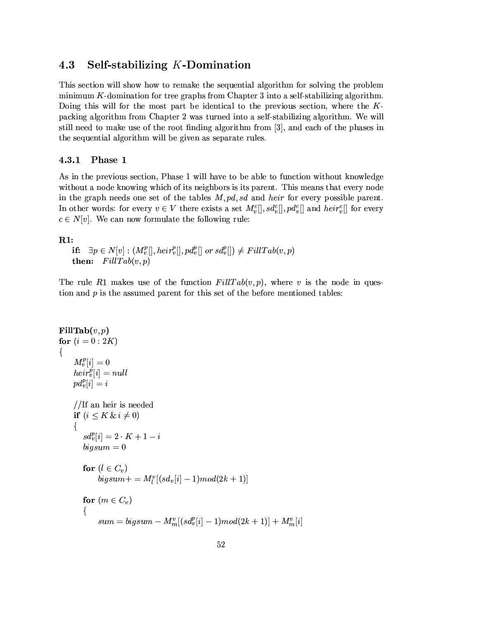#### 4.3 Self-stabilizing K-Domination

This section will show how to remake the sequential algorithm for solving the problem minimum  $K$ -domination for tree graphs from Chapter 3 into a self-stabilizing algorithm. Doing this will for the most part be identical to the previous section, where the  $K$ packing algorithm from Chapter 2 was turned into a self-stabilizing algorithm. We will still need to make use of the root finding algorithm from [3], and each of the phases in the sequential algorithm will be given as separate rules.

#### Phase 1  $4.3.1$

As in the previous section, Phase 1 will have to be able to function without knowledge without a node knowing which of its neighbors is its parent. This means that every node in the graph needs one set of the tables  $M, pd, sd$  and heir for every possible parent. In other words: for every  $v \in V$  there exists a set  $M_v^c[., sd_v^c[., pd_v^c[]$  and  $heir_v^c[]$  for every  $c \in N[v]$ . We can now formulate the following rule:

#### $R1$ :

```
if: \exists p \in N[v] : (M_v^p[], heir_v^p[], pd_v^p[] \text{ or } sd_v^p[]) \neq FillTab(v, p)then: FillTab(v,p)
```
The rule R1 makes use of the function  $FillTab(v, p)$ , where v is the node in question and  $p$  is the assumed parent for this set of the before mentioned tables:

```
FillTab(v, p)for (i = 0:2K)\{M_v^p[i]=0heir_v^p[i] = nullpd_v^p[i] = i//If an heir is needed
    if (i \leq K \& i \neq 0)\{sd_v^p[i] = 2 \cdot K + 1 - ibigsum = 0for (l \in C_v)bigsum + m_l^v[(sd_v[i] - 1)mod(2k + 1)]for (m \in C_v)\left\{ \right.sum = bigsum - M_m^v[(sd_v^p[i] - 1)mod(2k + 1)] + M_m^v[i]
```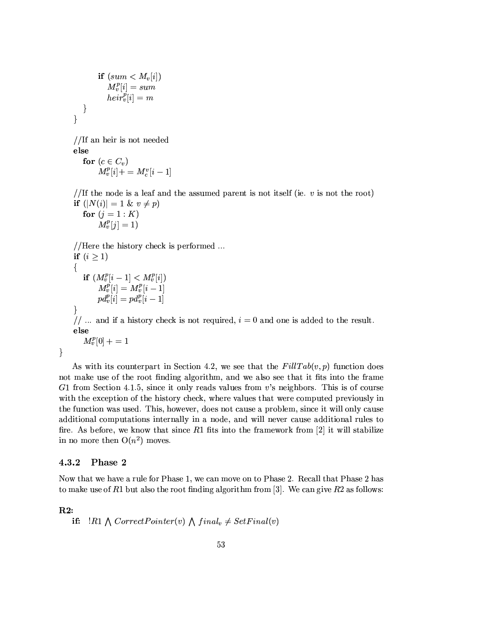if  $(sum < M_v[i])$  $M_v^p[i] = sum$  $\overline{heir_v^p}[i] = m$  $\}$  $\overline{\mathcal{L}}$ 

//If an heir is not needed else for  $(c \in C_v)$  $M_v^p[i] + = M_c^v[i-1]$ 

//If the node is a leaf and the assumed parent is not itself (ie.  $v$  is not the root) if  $(|N(i)| = 1 \& v \neq p)$ 

for  $(j = 1 : K)$  $M_{v}^{p}[j] = 1$ 

//Here the history check is performed ... if  $(i \geq 1)$  $\{$ if  $(M_v^p[i-1] < M_v^p[i])$  $\begin{array}{c} M^p_v[i] = M^p_v[i-1] \ pd^p_v[i] = pd^p_v[i-1] \end{array}$  $\}$ // ... and if a history check is not required,  $i = 0$  and one is added to the result. else  $M_v^p[0]+=1$ 

As with its counterpart in Section 4.2, we see that the  $FillTab(v, p)$  function does not make use of the root finding algorithm, and we also see that it fits into the frame G1 from Section 4.1.5, since it only reads values from v's neighbors. This is of course with the exception of the history check, where values that were computed previously in the function was used. This, however, does not cause a problem, since it will only cause additional computations internally in a node, and will never cause additional rules to fire. As before, we know that since  $R1$  fits into the framework from [2] it will stabilize in no more then  $O(n^2)$  moves.

#### 4.3.2 Phase 2

Now that we have a rule for Phase 1, we can move on to Phase 2. Recall that Phase 2 has to make use of R1 but also the root finding algorithm from [3]. We can give R2 as follows:

#### $R2:$

 $\}$ 

```
if: \exists R1 \wedge CorrectPointer(v) \wedge final_v \neq SetFinal(v)
```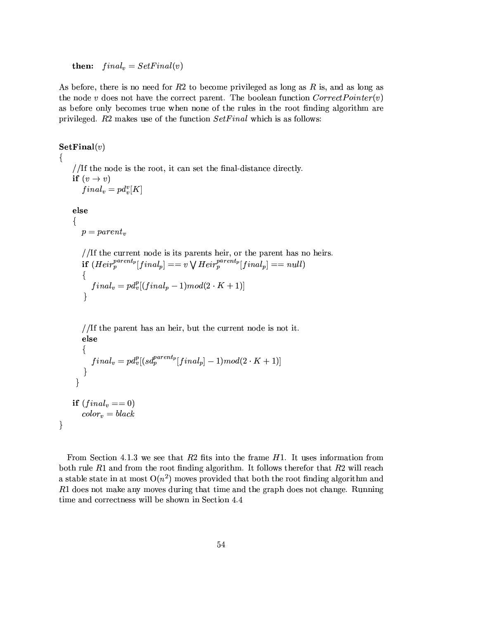**then:**  $final_v = SetFinal(v)$ 

As before, there is no need for  $R2$  to become privileged as long as R is, and as long as the node v does not have the correct parent. The boolean function  $CorrectPointer(v)$ as before only becomes true when none of the rules in the root finding algorithm are privileged.  $R2$  makes use of the function  $SetFinal$  which is as follows:

 $\textbf{SetFinal}(v)$  $\{$ //If the node is the root, it can set the final-distance directly. if  $(v \rightarrow v)$  $final_v = pd_v^v[K]$ else  $\{$  $p = parent_v$ //If the current node is its parents heir, or the parent has no heirs. if  $(Heir_p^{parent_p}[final_p] == v \vee Heir_p^{parent_p}[final_p] == null)$  $final_v = pd_v^p[(final_p-1)mod(2\cdot K+1)]$  $\mathcal{E}$ //If the parent has an heir, but the current node is not it. else ┦  $final_v = pd_v^p[(sd_p^{parent_p}[final_p] - 1)mod(2 \cdot K + 1)]$  $\}$  $\}$ if  $(final_v == 0)$  $color_v = black$  $\}$ 

From Section 4.1.3 we see that  $R2$  fits into the frame  $H1$ . It uses information from both rule  $R1$  and from the root finding algorithm. It follows therefor that  $R2$  will reach a stable state in at most  $O(n^2)$  moves provided that both the root finding algorithm and  $R1$  does not make any moves during that time and the graph does not change. Running time and correctness will be shown in Section 4.4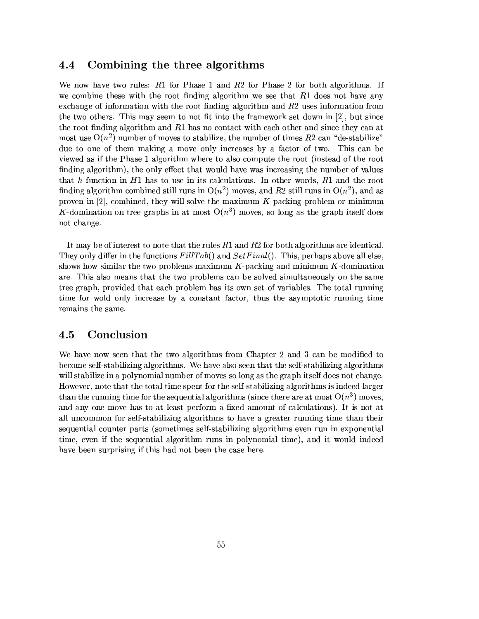#### 4.4 Combining the three algorithms

We now have two rules:  $R1$  for Phase 1 and  $R2$  for Phase 2 for both algorithms. If we combine these with the root finding algorithm we see that  $R1$  does not have any exchange of information with the root finding algorithm and  $R2$  uses information from the two others. This may seem to not fit into the framework set down in [2], but since the root finding algorithm and  $R1$  has no contact with each other and since they can at most use  $O(n^2)$  number of moves to stabilize, the number of times R2 can "de-stabilize" due to one of them making a move only increases by a factor of two. This can be viewed as if the Phase 1 algorithm where to also compute the root (instead of the root finding algorithm), the only effect that would have was increasing the number of values that h function in  $H1$  has to use in its calculations. In other words,  $R1$  and the root finding algorithm combined still runs in  $O(n^2)$  moves, and R2 still runs in  $O(n^2)$ , and as proven in [2], combined, they will solve the maximum  $K$ -packing problem or minimum K-domination on tree graphs in at most  $O(n^3)$  moves, so long as the graph itself does not change.

It may be of interest to note that the rules  $R1$  and  $R2$  for both algorithms are identical. They only differ in the functions  $FillTab()$  and  $SetFinal()$ . This, perhaps above all else. shows how similar the two problems maximum  $K$ -packing and minimum  $K$ -domination are. This also means that the two problems can be solved simultaneously on the same tree graph, provided that each problem has its own set of variables. The total running time for wold only increase by a constant factor, thus the asymptotic running time remains the same.

#### 4.5 Conclusion

We have now seen that the two algorithms from Chapter 2 and 3 can be modified to become self-stabilizing algorithms. We have also seen that the self-stabilizing algorithms will stabilize in a polynomial number of moves so long as the graph itself does not change. However, note that the total time spent for the self-stabilizing algorithms is indeed larger than the running time for the sequential algorithms (since there are at most  $O(n^3)$  moves, and any one move has to at least perform a fixed amount of calculations). It is not at all uncommon for self-stabilizing algorithms to have a greater running time than their sequential counter parts (sometimes self-stabilizing algorithms even run in exponential time, even if the sequential algorithm runs in polynomial time), and it would indeed have been surprising if this had not been the case here.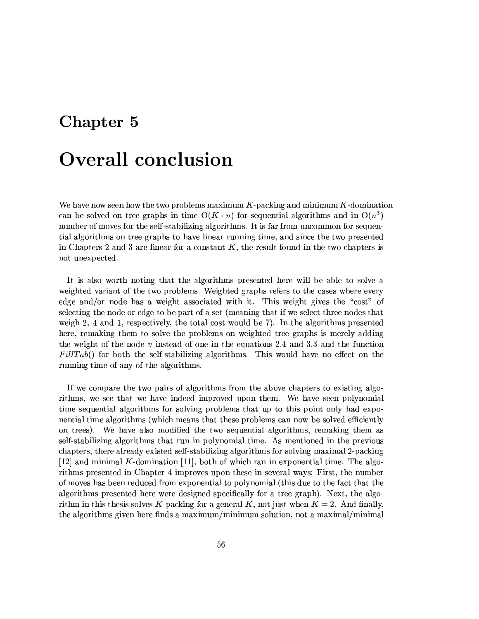### Chapter 5

### **Overall conclusion**

We have now seen how the two problems maximum  $K$ -packing and minimum  $K$ -domination can be solved on tree graphs in time  $O(K \cdot n)$  for sequential algorithms and in  $O(n^3)$ number of moves for the self-stabilizing algorithms. It is far from uncommon for sequential algorithms on tree graphs to have linear running time, and since the two presented in Chapters 2 and 3 are linear for a constant  $K$ , the result found in the two chapters is not unexpected.

It is also worth noting that the algorithms presented here will be able to solve a weighted variant of the two problems. Weighted graphs refers to the cases where every edge and/or node has a weight associated with it. This weight gives the "cost" of selecting the node or edge to be part of a set (meaning that if we select three nodes that weigh  $2, 4$  and 1, respectively, the total cost would be 7). In the algorithms presented here, remaking them to solve the problems on weighted tree graphs is merely adding the weight of the node  $v$  instead of one in the equations 2.4 and 3.3 and the function  $FillTab()$  for both the self-stabilizing algorithms. This would have no effect on the running time of any of the algorithms.

If we compare the two pairs of algorithms from the above chapters to existing algorithms, we see that we have indeed improved upon them. We have seen polynomial time sequential algorithms for solving problems that up to this point only had exponential time algorithms (which means that these problems can now be solved efficiently on trees). We have also modified the two sequential algorithms, remaking them as self-stabilizing algorithms that run in polynomial time. As mentioned in the previous chapters, there already existed self-stabilizing algorithms for solving maximal 2-packing [12] and minimal K-domination [11], both of which ran in exponential time. The algorithms presented in Chapter 4 improves upon these in several ways: First, the number of moves has been reduced from exponential to polynomial (this due to the fact that the algorithms presented here were designed specifically for a tree graph). Next, the algorithm in this thesis solves K-packing for a general K, not just when  $K = 2$ . And finally, the algorithms given here finds a maximum/minimum solution, not a maximal/minimal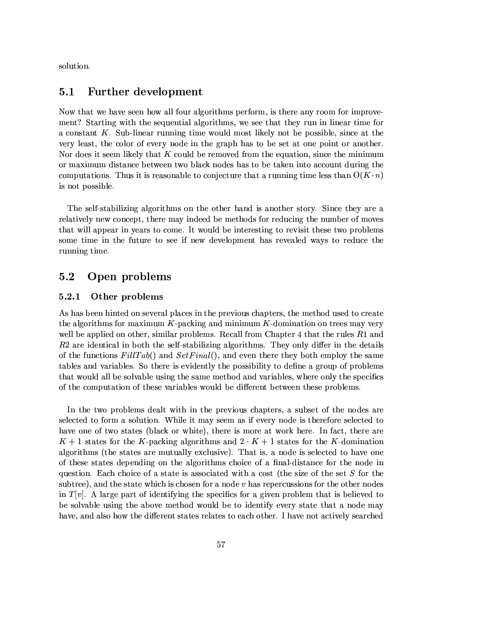solution.

#### $5.1$ **Further development**

Now that we have seen how all four algorithms perform, is there any room for improvement? Starting with the sequential algorithms, we see that they run in linear time for a constant  $K$ . Sub-linear running time would most likely not be possible, since at the very least, the color of every node in the graph has to be set at one point or another. Nor does it seem likely that  $K$  could be removed from the equation, since the minimum or maximum distance between two black nodes has to be taken into account during the computations. Thus it is reasonable to conjecture that a running time less than  $O(K \cdot n)$ is not possible.

The self-stabilizing algorithms on the other hand is another story. Since they are a relatively new concept, there may indeed be methods for reducing the number of moves that will appear in years to come. It would be interesting to revisit these two problems some time in the future to see if new development has revealed ways to reduce the running time.

#### $5.2$ Open problems

#### 5.2.1 Other problems

As has been hinted on several places in the previous chapters, the method used to create the algorithms for maximum  $K$ -packing and minimum  $K$ -domination on trees may very well be applied on other, similar problems. Recall from Chapter 4 that the rules R1 and  $R<sup>2</sup>$  are identical in both the self-stabilizing algorithms. They only differ in the details of the functions  $FillTab()$  and  $SetFinal()$ , and even there they both employ the same tables and variables. So there is evidently the possibility to define a group of problems that would all be solvable using the same method and variables, where only the specifics of the computation of these variables would be different between these problems.

In the two problems dealt with in the previous chapters, a subset of the nodes are selected to form a solution. While it may seem as if every node is therefore selected to have one of two states (black or white), there is more at work here. In fact, there are  $K+1$  states for the K-packing algorithms and  $2 \cdot K + 1$  states for the K-domination algorithms (the states are mutually exclusive). That is, a node is selected to have one of these states depending on the algorithms choice of a final-distance for the node in question. Each choice of a state is associated with a cost (the size of the set S for the subtree), and the state which is chosen for a node  $v$  has repercussions for the other nodes in  $T[v]$ . A large part of identifying the specifics for a given problem that is believed to be solvable using the above method would be to identify every state that a node may have, and also how the different states relates to each other. I have not actively searched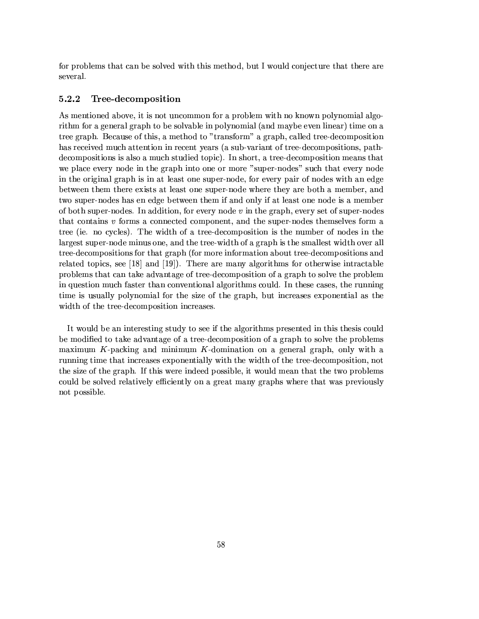for problems that can be solved with this method, but I would conjecture that there are several.

#### 5.2.2 Tree-decomposition

As mentioned above, it is not uncommon for a problem with no known polynomial algorithm for a general graph to be solvable in polynomial (and maybe even linear) time on a tree graph. Because of this, a method to "transform" a graph, called tree-decomposition has received much attention in recent years (a sub-variant of tree-decompositions, pathdecompositions is also a much studied topic). In short, a tree-decomposition means that we place every node in the graph into one or more "super-nodes" such that every node in the original graph is in at least one super-node, for every pair of nodes with an edge between them there exists at least one super-node where they are both a member, and two super-nodes has en edge between them if and only if at least one node is a member of both super-nodes. In addition, for every node  $v$  in the graph, every set of super-nodes that contains v forms a connected component, and the super-nodes themselves form a tree (ie. no cycles). The width of a tree-decomposition is the number of nodes in the largest super-node minus one, and the tree-width of a graph is the smallest width over all tree-decompositions for that graph (for more information about tree-decompositions and related topics, see [18] and [19]). There are many algorithms for otherwise intractable problems that can take advantage of tree-decomposition of a graph to solve the problem in question much faster than conventional algorithms could. In these cases, the running time is usually polynomial for the size of the graph, but increases exponential as the width of the tree-decomposition increases.

It would be an interesting study to see if the algorithms presented in this thesis could be modified to take advantage of a tree-decomposition of a graph to solve the problems maximum  $K$ -packing and minimum  $K$ -domination on a general graph, only with a running time that increases exponentially with the width of the tree-decomposition, not the size of the graph. If this were indeed possible, it would mean that the two problems could be solved relatively efficiently on a great many graphs where that was previously not possible.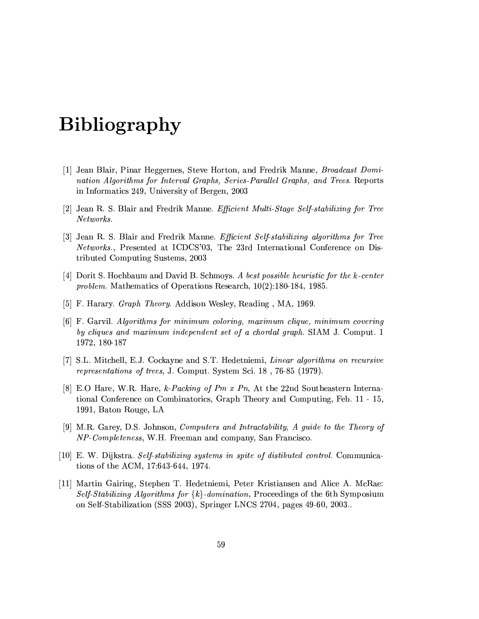# **Bibliography**

- [1] Jean Blair, Pinar Heggernes, Steve Horton, and Fredrik Manne, *Broadcast Domi*nation Algorithms for Interval Graphs, Series-Parallel Graphs, and Trees. Reports in Informatics 249, University of Bergen, 2003
- [2] Jean R. S. Blair and Fredrik Manne. Efficient Multi-Stage Self-stabilizing for Tree Networks.
- [3] Jean R. S. Blair and Fredrik Manne. Efficient Self-stabilizing algorithms for Tree *Networks.*, Presented at ICDCS'03, The 23rd International Conference on Distributed Computing Sustems, 2003
- [4] Dorit S. Hochbaum and David B. Schmoys. A best possible heuristic for the k-center problem. Mathematics of Operations Research,  $10(2):180-184$ , 1985.
- [5] F. Harary. *Graph Theory.* Addison Wesley, Reading, MA, 1969.
- [6] F. Garvil. Algorithms for minimum coloring, maximum clique, minimum covering by cliques and maximum independent set of a chordal graph. SIAM J. Comput. 1 1972, 180-187
- [7] S.L. Mitchell, E.J. Cockayne and S.T. Hedetniemi, Linear algorithms on recursive *representations of trees.* J. Comput. System Sci. 18, 76-85 (1979).
- [8] E.O Hare, W.R. Hare, k-Packing of Pm x Pn, At the 22nd Southeastern International Conference on Combinatorics, Graph Theory and Computing, Feb. 11 - 15, 1991, Baton Rouge, LA
- [9] M.R. Garey, D.S. Johnson, Computers and Intractability, A guide to the Theory of NP-Completeness, W.H. Freeman and company, San Francisco.
- [10] E. W. Dijkstra. Self-stabilizing systems in spite of distibuted control. Communications of the ACM, 17:643-644, 1974.
- [11] Martin Gairing, Stephen T. Hedetniemi, Peter Kristiansen and Alice A. McRae: Self-Stabilizing Algorithms for  $\{k\}$ -domination, Proceedings of the 6th Symposium on Self-Stabilization (SSS 2003), Springer LNCS 2704, pages 49-60, 2003.